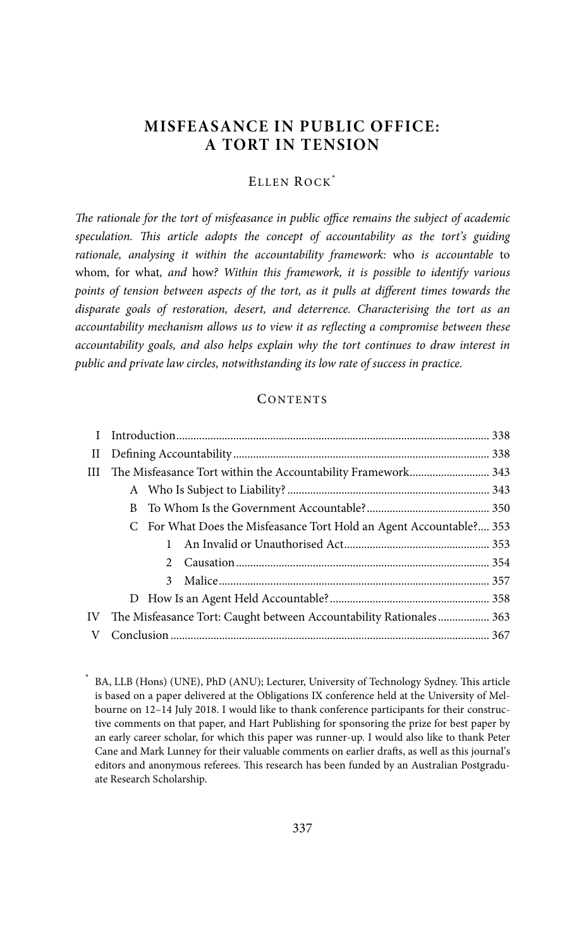# **MISFEASANCE IN PUBLIC OFFICE: A TORT IN TENSION**

## ELLEN ROCK\*

The rationale for the tort of misfeasance in public office remains the subject of academic speculation. This article adopts the concept of accountability as the tort's guiding rationale, analysing it within the accountability framework: who is accountable to whom, for what, and how? Within this framework, it is possible to identify various points of tension between aspects of the tort, as it pulls at different times towards the disparate goals of restoration, desert, and deterrence. Characterising the tort as an accountability mechanism allows us to view it as reflecting a compromise between these accountability goals, and also helps explain why the tort continues to draw interest in public and private law circles, notwithstanding its low rate of success in practice.

#### **CONTENTS**

| $\scriptstyle\rm II$ |                                                                     |  |
|----------------------|---------------------------------------------------------------------|--|
| Ш                    |                                                                     |  |
|                      |                                                                     |  |
|                      |                                                                     |  |
|                      | C For What Does the Misfeasance Tort Hold an Agent Accountable? 353 |  |
|                      |                                                                     |  |
|                      | $2^{\circ}$                                                         |  |
|                      | 3                                                                   |  |
|                      |                                                                     |  |
| IV                   | The Misfeasance Tort: Caught between Accountability Rationales 363  |  |
| V                    |                                                                     |  |

 <sup>\*</sup> BA, LLB (Hons) (UNE), PhD (ANU); Lecturer, University of Technology Sydney. This article is based on a paper delivered at the Obligations IX conference held at the University of Melbourne on 12–14 July 2018. I would like to thank conference participants for their constructive comments on that paper, and Hart Publishing for sponsoring the prize for best paper by an early career scholar, for which this paper was runner-up. I would also like to thank Peter Cane and Mark Lunney for their valuable comments on earlier drafts, as well as this journal's editors and anonymous referees. This research has been funded by an Australian Postgraduate Research Scholarship.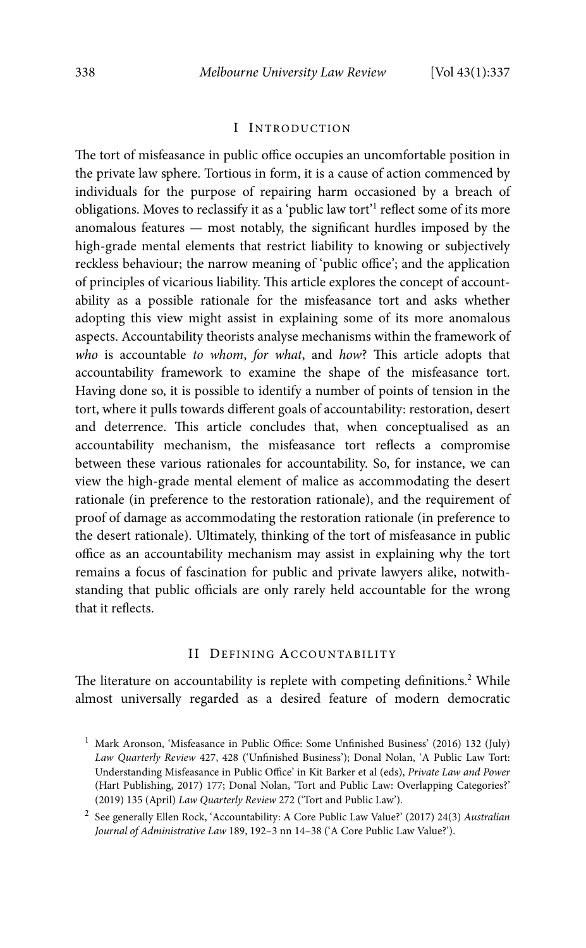#### I INTRODUCTION

The tort of misfeasance in public office occupies an uncomfortable position in the private law sphere. Tortious in form, it is a cause of action commenced by individuals for the purpose of repairing harm occasioned by a breach of obligations. Moves to reclassify it as a 'public law tort'<sup>1</sup> reflect some of its more anomalous features — most notably, the significant hurdles imposed by the high-grade mental elements that restrict liability to knowing or subjectively reckless behaviour; the narrow meaning of 'public office'; and the application of principles of vicarious liability. This article explores the concept of accountability as a possible rationale for the misfeasance tort and asks whether adopting this view might assist in explaining some of its more anomalous aspects. Accountability theorists analyse mechanisms within the framework of who is accountable to whom, for what, and how? This article adopts that accountability framework to examine the shape of the misfeasance tort. Having done so, it is possible to identify a number of points of tension in the tort, where it pulls towards different goals of accountability: restoration, desert and deterrence. This article concludes that, when conceptualised as an accountability mechanism, the misfeasance tort reflects a compromise between these various rationales for accountability. So, for instance, we can view the high-grade mental element of malice as accommodating the desert rationale (in preference to the restoration rationale), and the requirement of proof of damage as accommodating the restoration rationale (in preference to the desert rationale). Ultimately, thinking of the tort of misfeasance in public office as an accountability mechanism may assist in explaining why the tort remains a focus of fascination for public and private lawyers alike, notwithstanding that public officials are only rarely held accountable for the wrong that it reflects.

#### II DEFINING ACCOUNTABILITY

The literature on accountability is replete with competing definitions.<sup>2</sup> While almost universally regarded as a desired feature of modern democratic

<sup>&</sup>lt;sup>1</sup> Mark Aronson, 'Misfeasance in Public Office: Some Unfinished Business' (2016) 132 (July) Law Quarterly Review 427, 428 ('Unfinished Business'); Donal Nolan, 'A Public Law Tort: Understanding Misfeasance in Public Office' in Kit Barker et al (eds), Private Law and Power (Hart Publishing, 2017) 177; Donal Nolan, 'Tort and Public Law: Overlapping Categories?' (2019) 135 (April) Law Quarterly Review 272 ('Tort and Public Law').

<sup>&</sup>lt;sup>2</sup> See generally Ellen Rock, 'Accountability: A Core Public Law Value?' (2017) 24(3) Australian Journal of Administrative Law 189, 192–3 nn 14–38 ('A Core Public Law Value?').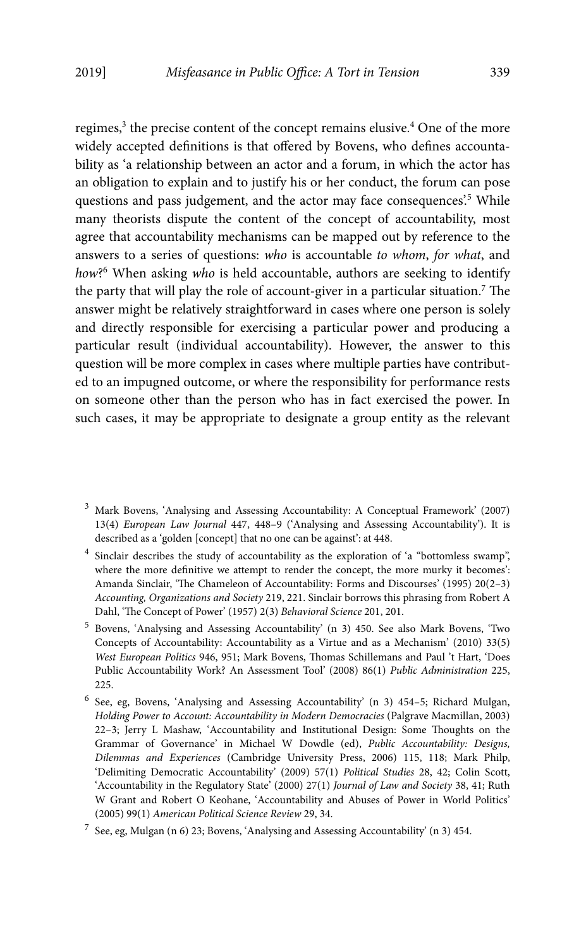regimes,<sup>3</sup> the precise content of the concept remains elusive.<sup>4</sup> One of the more widely accepted definitions is that offered by Bovens, who defines accountability as 'a relationship between an actor and a forum, in which the actor has an obligation to explain and to justify his or her conduct, the forum can pose questions and pass judgement, and the actor may face consequences.<sup>5</sup> While many theorists dispute the content of the concept of accountability, most agree that accountability mechanisms can be mapped out by reference to the answers to a series of questions: who is accountable to whom, for what, and how?<sup>6</sup> When asking who is held accountable, authors are seeking to identify the party that will play the role of account-giver in a particular situation.<sup>7</sup> The answer might be relatively straightforward in cases where one person is solely and directly responsible for exercising a particular power and producing a particular result (individual accountability). However, the answer to this question will be more complex in cases where multiple parties have contributed to an impugned outcome, or where the responsibility for performance rests on someone other than the person who has in fact exercised the power. In such cases, it may be appropriate to designate a group entity as the relevant

- <sup>4</sup> Sinclair describes the study of accountability as the exploration of 'a "bottomless swamp", where the more definitive we attempt to render the concept, the more murky it becomes': Amanda Sinclair, 'The Chameleon of Accountability: Forms and Discourses' (1995) 20(2–3) Accounting, Organizations and Society 219, 221. Sinclair borrows this phrasing from Robert A Dahl, 'The Concept of Power' (1957) 2(3) Behavioral Science 201, 201.
- 5 Bovens, 'Analysing and Assessing Accountability' (n 3) 450. See also Mark Bovens, 'Two Concepts of Accountability: Accountability as a Virtue and as a Mechanism' (2010) 33(5) West European Politics 946, 951; Mark Bovens, Thomas Schillemans and Paul 't Hart, 'Does Public Accountability Work? An Assessment Tool' (2008) 86(1) Public Administration 225, 225.
- 6 See, eg, Bovens, 'Analysing and Assessing Accountability' (n 3) 454–5; Richard Mulgan, Holding Power to Account: Accountability in Modern Democracies (Palgrave Macmillan, 2003) 22–3; Jerry L Mashaw, 'Accountability and Institutional Design: Some Thoughts on the Grammar of Governance' in Michael W Dowdle (ed), Public Accountability: Designs, Dilemmas and Experiences (Cambridge University Press, 2006) 115, 118; Mark Philp, 'Delimiting Democratic Accountability' (2009) 57(1) Political Studies 28, 42; Colin Scott, 'Accountability in the Regulatory State' (2000) 27(1) Journal of Law and Society 38, 41; Ruth W Grant and Robert O Keohane, 'Accountability and Abuses of Power in World Politics' (2005) 99(1) American Political Science Review 29, 34.

<sup>3</sup> Mark Bovens, 'Analysing and Assessing Accountability: A Conceptual Framework' (2007) 13(4) European Law Journal 447, 448–9 ('Analysing and Assessing Accountability'). It is described as a 'golden [concept] that no one can be against': at 448.

 $^7$  See, eg, Mulgan (n 6) 23; Bovens, 'Analysing and Assessing Accountability' (n 3) 454.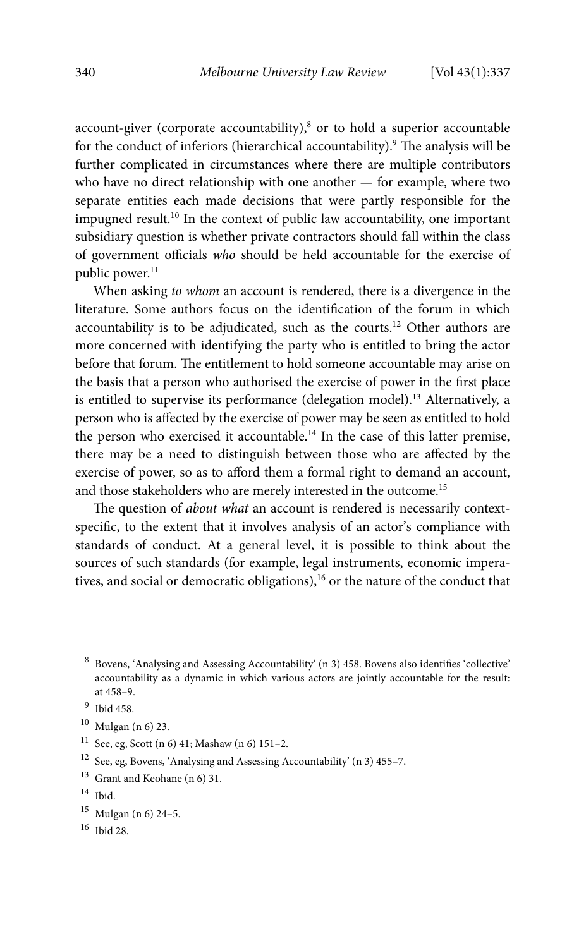account-giver (corporate accountability),<sup>8</sup> or to hold a superior accountable for the conduct of inferiors (hierarchical accountability).<sup>9</sup> The analysis will be further complicated in circumstances where there are multiple contributors who have no direct relationship with one another — for example, where two separate entities each made decisions that were partly responsible for the impugned result.10 In the context of public law accountability, one important subsidiary question is whether private contractors should fall within the class of government officials who should be held accountable for the exercise of public power.<sup>11</sup>

When asking to whom an account is rendered, there is a divergence in the literature. Some authors focus on the identification of the forum in which accountability is to be adjudicated, such as the courts.12 Other authors are more concerned with identifying the party who is entitled to bring the actor before that forum. The entitlement to hold someone accountable may arise on the basis that a person who authorised the exercise of power in the first place is entitled to supervise its performance (delegation model).<sup>13</sup> Alternatively, a person who is affected by the exercise of power may be seen as entitled to hold the person who exercised it accountable.<sup>14</sup> In the case of this latter premise, there may be a need to distinguish between those who are affected by the exercise of power, so as to afford them a formal right to demand an account, and those stakeholders who are merely interested in the outcome.<sup>15</sup>

The question of about what an account is rendered is necessarily contextspecific, to the extent that it involves analysis of an actor's compliance with standards of conduct. At a general level, it is possible to think about the sources of such standards (for example, legal instruments, economic imperatives, and social or democratic obligations),<sup>16</sup> or the nature of the conduct that

- <sup>11</sup> See, eg, Scott (n 6) 41; Mashaw (n 6) 151-2.
- 12 See, eg, Bovens, 'Analysing and Assessing Accountability' (n 3) 455–7.
- 13 Grant and Keohane (n 6) 31.
- $14$  Ibid.
- 15 Mulgan (n 6) 24–5.
- 16 Ibid 28.

<sup>8</sup> Bovens, 'Analysing and Assessing Accountability' (n 3) 458. Bovens also identifies 'collective' accountability as a dynamic in which various actors are jointly accountable for the result: at 458–9.

<sup>9</sup> Ibid 458.

<sup>10</sup> Mulgan (n 6) 23.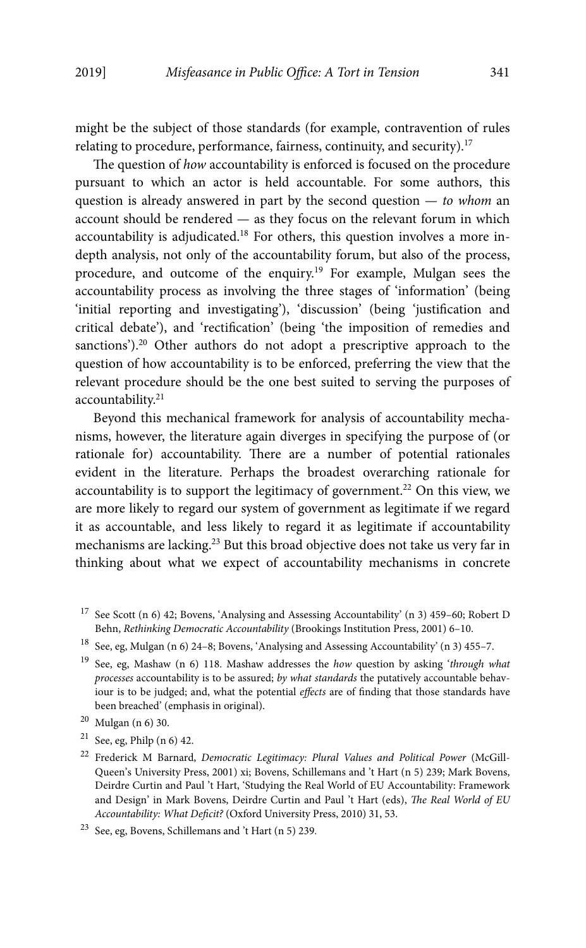might be the subject of those standards (for example, contravention of rules relating to procedure, performance, fairness, continuity, and security).17

The question of how accountability is enforced is focused on the procedure pursuant to which an actor is held accountable. For some authors, this question is already answered in part by the second question  $-$  to whom an account should be rendered — as they focus on the relevant forum in which accountability is adjudicated.18 For others, this question involves a more indepth analysis, not only of the accountability forum, but also of the process, procedure, and outcome of the enquiry.19 For example, Mulgan sees the accountability process as involving the three stages of 'information' (being 'initial reporting and investigating'), 'discussion' (being 'justification and critical debate'), and 'rectification' (being 'the imposition of remedies and sanctions').<sup>20</sup> Other authors do not adopt a prescriptive approach to the question of how accountability is to be enforced, preferring the view that the relevant procedure should be the one best suited to serving the purposes of accountability.<sup>21</sup>

Beyond this mechanical framework for analysis of accountability mechanisms, however, the literature again diverges in specifying the purpose of (or rationale for) accountability. There are a number of potential rationales evident in the literature. Perhaps the broadest overarching rationale for accountability is to support the legitimacy of government.<sup>22</sup> On this view, we are more likely to regard our system of government as legitimate if we regard it as accountable, and less likely to regard it as legitimate if accountability mechanisms are lacking.<sup>23</sup> But this broad objective does not take us very far in thinking about what we expect of accountability mechanisms in concrete

 $17$  See Scott (n 6) 42; Bovens, 'Analysing and Assessing Accountability' (n 3) 459-60; Robert D Behn, Rethinking Democratic Accountability (Brookings Institution Press, 2001) 6–10.

 $^{18}\,$  See, eg, Mulgan (n 6) 24–8; Bovens, 'Analysing and Assessing Accountability' (n 3) 455–7.

<sup>&</sup>lt;sup>19</sup> See, eg, Mashaw (n 6) 118. Mashaw addresses the how question by asking 'through what processes accountability is to be assured; by what standards the putatively accountable behaviour is to be judged; and, what the potential effects are of finding that those standards have been breached' (emphasis in original).

<sup>20</sup> Mulgan (n 6) 30.

 $21$  See, eg, Philp (n 6) 42.

 $22$  Frederick M Barnard, Democratic Legitimacy: Plural Values and Political Power (McGill-Queen's University Press, 2001) xi; Bovens, Schillemans and 't Hart (n 5) 239; Mark Bovens, Deirdre Curtin and Paul 't Hart, 'Studying the Real World of EU Accountability: Framework and Design' in Mark Bovens, Deirdre Curtin and Paul 't Hart (eds), The Real World of EU Accountability: What Deficit? (Oxford University Press, 2010) 31, 53.

<sup>23</sup> See, eg, Bovens, Schillemans and 't Hart (n 5) 239.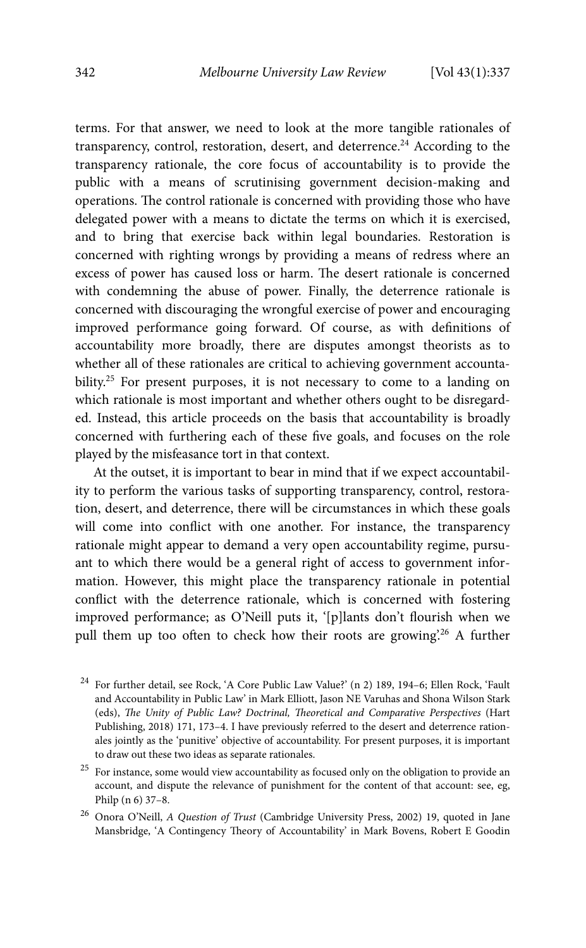terms. For that answer, we need to look at the more tangible rationales of transparency, control, restoration, desert, and deterrence.<sup>24</sup> According to the transparency rationale, the core focus of accountability is to provide the public with a means of scrutinising government decision-making and operations. The control rationale is concerned with providing those who have delegated power with a means to dictate the terms on which it is exercised, and to bring that exercise back within legal boundaries. Restoration is concerned with righting wrongs by providing a means of redress where an excess of power has caused loss or harm. The desert rationale is concerned with condemning the abuse of power. Finally, the deterrence rationale is concerned with discouraging the wrongful exercise of power and encouraging improved performance going forward. Of course, as with definitions of accountability more broadly, there are disputes amongst theorists as to whether all of these rationales are critical to achieving government accountability.<sup>25</sup> For present purposes, it is not necessary to come to a landing on which rationale is most important and whether others ought to be disregarded. Instead, this article proceeds on the basis that accountability is broadly concerned with furthering each of these five goals, and focuses on the role played by the misfeasance tort in that context.

At the outset, it is important to bear in mind that if we expect accountability to perform the various tasks of supporting transparency, control, restoration, desert, and deterrence, there will be circumstances in which these goals will come into conflict with one another. For instance, the transparency rationale might appear to demand a very open accountability regime, pursuant to which there would be a general right of access to government information. However, this might place the transparency rationale in potential conflict with the deterrence rationale, which is concerned with fostering improved performance; as O'Neill puts it, '[p]lants don't flourish when we pull them up too often to check how their roots are growing.<sup>26</sup> A further

 $^{24}$  For further detail, see Rock, 'A Core Public Law Value?' (n 2) 189, 194–6; Ellen Rock, 'Fault and Accountability in Public Law' in Mark Elliott, Jason NE Varuhas and Shona Wilson Stark (eds), The Unity of Public Law? Doctrinal, Theoretical and Comparative Perspectives (Hart Publishing, 2018) 171, 173–4. I have previously referred to the desert and deterrence rationales jointly as the 'punitive' objective of accountability. For present purposes, it is important to draw out these two ideas as separate rationales.

 $^{\rm 25}$  For instance, some would view accountability as focused only on the obligation to provide an account, and dispute the relevance of punishment for the content of that account: see, eg, Philp (n 6) 37–8.

<sup>&</sup>lt;sup>26</sup> Onora O'Neill, A Question of Trust (Cambridge University Press, 2002) 19, quoted in Jane Mansbridge, 'A Contingency Theory of Accountability' in Mark Bovens, Robert E Goodin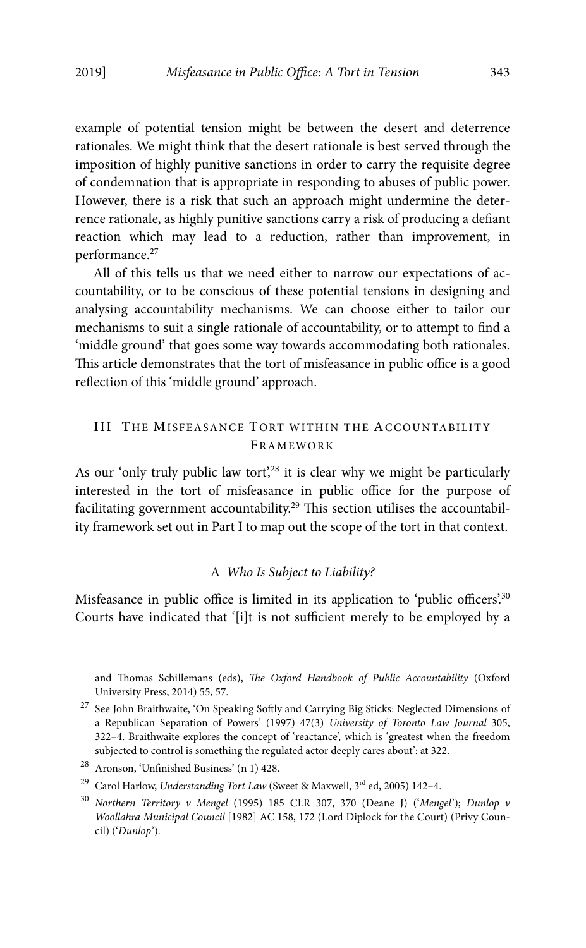example of potential tension might be between the desert and deterrence rationales. We might think that the desert rationale is best served through the imposition of highly punitive sanctions in order to carry the requisite degree of condemnation that is appropriate in responding to abuses of public power. However, there is a risk that such an approach might undermine the deterrence rationale, as highly punitive sanctions carry a risk of producing a defiant reaction which may lead to a reduction, rather than improvement, in performance.<sup>27</sup>

All of this tells us that we need either to narrow our expectations of accountability, or to be conscious of these potential tensions in designing and analysing accountability mechanisms. We can choose either to tailor our mechanisms to suit a single rationale of accountability, or to attempt to find a 'middle ground' that goes some way towards accommodating both rationales. This article demonstrates that the tort of misfeasance in public office is a good reflection of this 'middle ground' approach.

## III THE MISFEASANCE TORT WITHIN THE ACCOUNTABILITY FRAMEWORK

As our 'only truly public law tort',<sup>28</sup> it is clear why we might be particularly interested in the tort of misfeasance in public office for the purpose of facilitating government accountability.<sup>29</sup> This section utilises the accountability framework set out in Part I to map out the scope of the tort in that context.

## A Who Is Subject to Liability?

Misfeasance in public office is limited in its application to 'public officers'.<sup>30</sup> Courts have indicated that '[i]t is not sufficient merely to be employed by a

and Thomas Schillemans (eds), The Oxford Handbook of Public Accountability (Oxford University Press, 2014) 55, 57.

 $^\mathrm{27}$  See John Braithwaite, 'On Speaking Softly and Carrying Big Sticks: Neglected Dimensions of a Republican Separation of Powers' (1997) 47(3) University of Toronto Law Journal 305, 322–4. Braithwaite explores the concept of 'reactance', which is 'greatest when the freedom subjected to control is something the regulated actor deeply cares about': at 322.

<sup>28</sup> Aronson, 'Unfinished Business' (n 1) 428.

<sup>&</sup>lt;sup>29</sup> Carol Harlow, Understanding Tort Law (Sweet & Maxwell, 3<sup>rd</sup> ed, 2005) 142-4.

<sup>30</sup> Northern Territory v Mengel (1995) 185 CLR 307, 370 (Deane J) ('Mengel'); Dunlop v Woollahra Municipal Council [1982] AC 158, 172 (Lord Diplock for the Court) (Privy Council) ('Dunlop').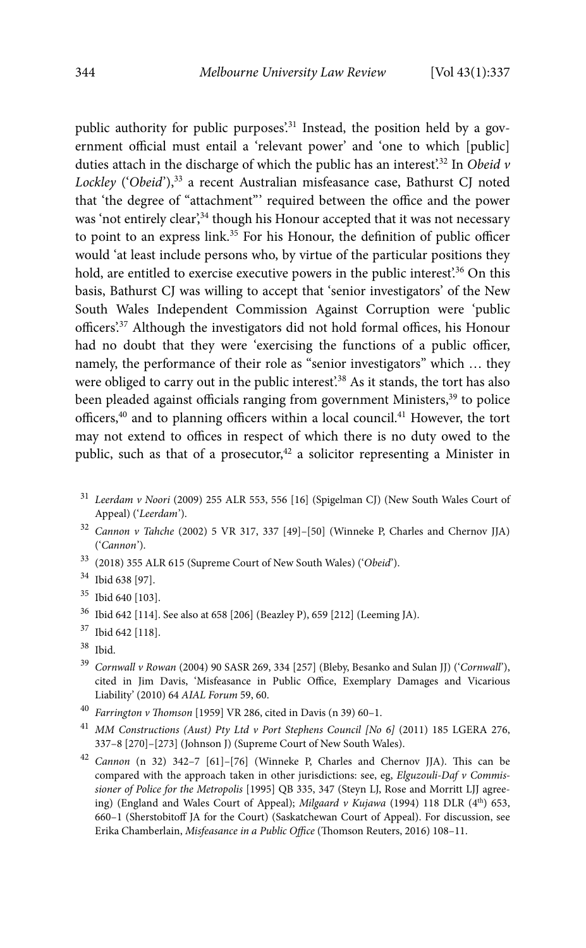public authority for public purposes.<sup>31</sup> Instead, the position held by a government official must entail a 'relevant power' and 'one to which [public] duties attach in the discharge of which the public has an interest'.<sup>32</sup> In Obeid  $\nu$ Lockley ('Obeid'),<sup>33</sup> a recent Australian misfeasance case, Bathurst CJ noted that 'the degree of "attachment"' required between the office and the power was 'not entirely clear',<sup>34</sup> though his Honour accepted that it was not necessary to point to an express link.<sup>35</sup> For his Honour, the definition of public officer would 'at least include persons who, by virtue of the particular positions they hold, are entitled to exercise executive powers in the public interest.<sup>36</sup> On this basis, Bathurst CJ was willing to accept that 'senior investigators' of the New South Wales Independent Commission Against Corruption were 'public officers'.37 Although the investigators did not hold formal offices, his Honour had no doubt that they were 'exercising the functions of a public officer, namely, the performance of their role as "senior investigators" which … they were obliged to carry out in the public interest'.<sup>38</sup> As it stands, the tort has also been pleaded against officials ranging from government Ministers,<sup>39</sup> to police officers,40 and to planning officers within a local council.41 However, the tort may not extend to offices in respect of which there is no duty owed to the public, such as that of a prosecutor, $42$  a solicitor representing a Minister in

- <sup>31</sup> Leerdam v Noori (2009) 255 ALR 553, 556 [16] (Spigelman CJ) (New South Wales Court of Appeal) ('Leerdam').
- $32$  Cannon v Tahche (2002) 5 VR 317, 337 [49]–[50] (Winneke P, Charles and Chernov JJA) ('Cannon').
- 33 (2018) 355 ALR 615 (Supreme Court of New South Wales) ('Obeid').
- 34 Ibid 638 [97].
- 35 Ibid 640 [103].
- 36 Ibid 642 [114]. See also at 658 [206] (Beazley P), 659 [212] (Leeming JA).
- 37 Ibid 642 [118].
- 38 Ibid.
- <sup>39</sup> Cornwall v Rowan (2004) 90 SASR 269, 334 [257] (Bleby, Besanko and Sulan JJ) ('Cornwall'), cited in Jim Davis, 'Misfeasance in Public Office, Exemplary Damages and Vicarious Liability' (2010) 64 AIAL Forum 59, 60.
- <sup>40</sup> Farrington v Thomson [1959] VR 286, cited in Davis (n 39) 60-1.
- $^{41}$  MM Constructions (Aust) Pty Ltd v Port Stephens Council [No 6] (2011) 185 LGERA 276, 337–8 [270]–[273] (Johnson J) (Supreme Court of New South Wales).
- $42$  Cannon (n 32) 342-7 [61]-[76] (Winneke P, Charles and Chernov JJA). This can be compared with the approach taken in other jurisdictions: see, eg, Elguzouli-Daf v Commissioner of Police for the Metropolis [1995] QB 335, 347 (Steyn LJ, Rose and Morritt LJJ agreeing) (England and Wales Court of Appeal); Milgaard v Kujawa (1994) 118 DLR ( $4<sup>th</sup>$ ) 653, 660–1 (Sherstobitoff JA for the Court) (Saskatchewan Court of Appeal). For discussion, see Erika Chamberlain, Misfeasance in a Public Office (Thomson Reuters, 2016) 108–11.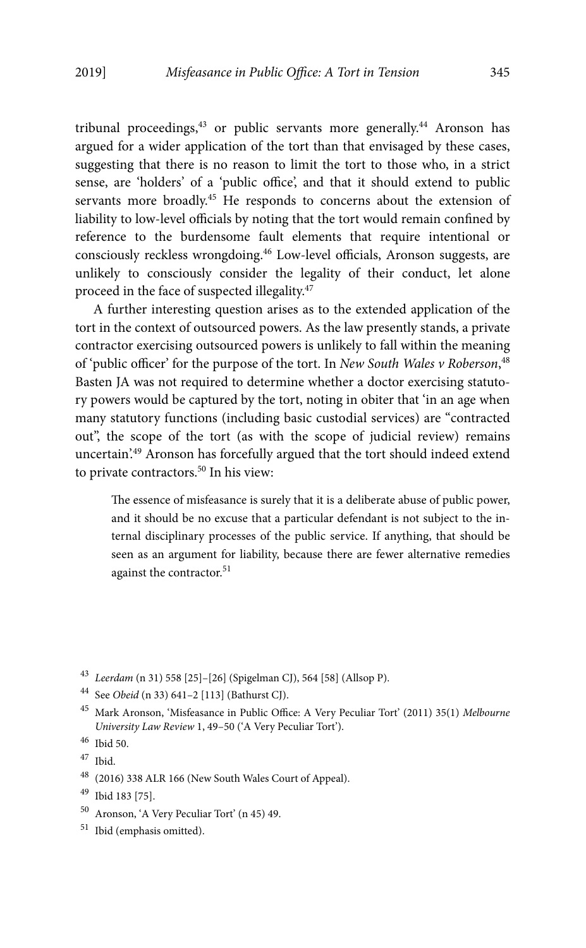tribunal proceedings,<sup>43</sup> or public servants more generally.<sup>44</sup> Aronson has argued for a wider application of the tort than that envisaged by these cases, suggesting that there is no reason to limit the tort to those who, in a strict sense, are 'holders' of a 'public office', and that it should extend to public servants more broadly.<sup>45</sup> He responds to concerns about the extension of liability to low-level officials by noting that the tort would remain confined by reference to the burdensome fault elements that require intentional or consciously reckless wrongdoing.46 Low-level officials, Aronson suggests, are unlikely to consciously consider the legality of their conduct, let alone proceed in the face of suspected illegality.47

A further interesting question arises as to the extended application of the tort in the context of outsourced powers. As the law presently stands, a private contractor exercising outsourced powers is unlikely to fall within the meaning of 'public officer' for the purpose of the tort. In New South Wales v Roberson, <sup>48</sup> Basten JA was not required to determine whether a doctor exercising statutory powers would be captured by the tort, noting in obiter that 'in an age when many statutory functions (including basic custodial services) are "contracted out", the scope of the tort (as with the scope of judicial review) remains uncertain.<sup>49</sup> Aronson has forcefully argued that the tort should indeed extend to private contractors.<sup>50</sup> In his view:

The essence of misfeasance is surely that it is a deliberate abuse of public power, and it should be no excuse that a particular defendant is not subject to the internal disciplinary processes of the public service. If anything, that should be seen as an argument for liability, because there are fewer alternative remedies against the contractor.<sup>51</sup>

<sup>43</sup> Leerdam (n 31) 558 [25]–[26] (Spigelman CJ), 564 [58] (Allsop P).

- 50 Aronson, 'A Very Peculiar Tort' (n 45) 49.
- 51 Ibid (emphasis omitted).

<sup>44</sup> See Obeid (n 33) 641–2 [113] (Bathurst CJ).

<sup>&</sup>lt;sup>45</sup> Mark Aronson, 'Misfeasance in Public Office: A Very Peculiar Tort' (2011) 35(1) Melbourne University Law Review 1, 49–50 ('A Very Peculiar Tort').

<sup>46</sup> Ibid 50.

<sup>47</sup> Ibid.

<sup>48 (2016) 338</sup> ALR 166 (New South Wales Court of Appeal).

<sup>49</sup> Ibid 183 [75].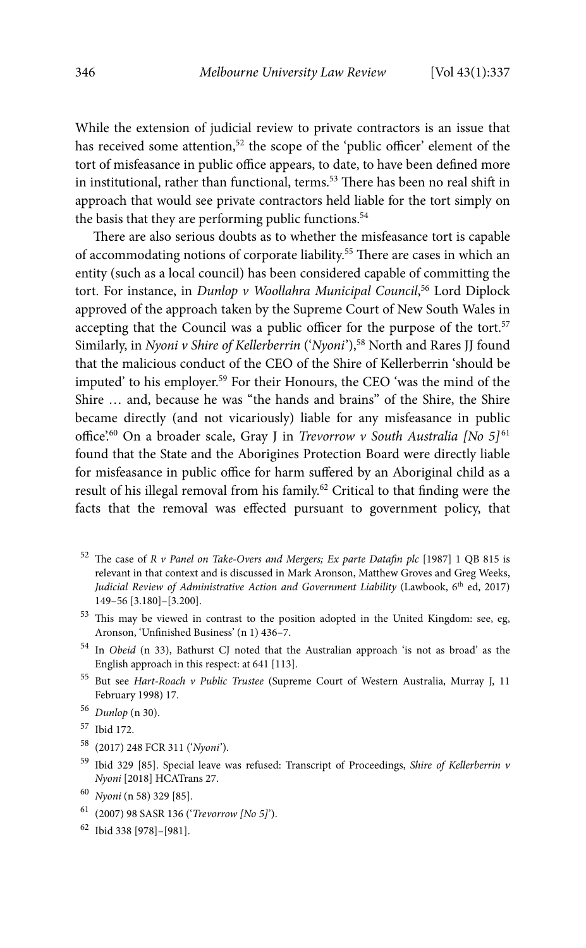While the extension of judicial review to private contractors is an issue that has received some attention,<sup>52</sup> the scope of the 'public officer' element of the tort of misfeasance in public office appears, to date, to have been defined more in institutional, rather than functional, terms.<sup>53</sup> There has been no real shift in approach that would see private contractors held liable for the tort simply on the basis that they are performing public functions.<sup>54</sup>

There are also serious doubts as to whether the misfeasance tort is capable of accommodating notions of corporate liability.55 There are cases in which an entity (such as a local council) has been considered capable of committing the tort. For instance, in Dunlop v Woollahra Municipal Council,<sup>56</sup> Lord Diplock approved of the approach taken by the Supreme Court of New South Wales in accepting that the Council was a public officer for the purpose of the tort.<sup>57</sup> Similarly, in Nyoni v Shire of Kellerberrin ('Nyoni'),<sup>58</sup> North and Rares JJ found that the malicious conduct of the CEO of the Shire of Kellerberrin 'should be imputed' to his employer.<sup>59</sup> For their Honours, the CEO 'was the mind of the Shire … and, because he was "the hands and brains" of the Shire, the Shire became directly (and not vicariously) liable for any misfeasance in public office'.<sup>60</sup> On a broader scale, Gray J in Trevorrow v South Australia [No 5]<sup>61</sup> found that the State and the Aborigines Protection Board were directly liable for misfeasance in public office for harm suffered by an Aboriginal child as a result of his illegal removal from his family.62 Critical to that finding were the facts that the removal was effected pursuant to government policy, that

- <sup>52</sup> The case of R v Panel on Take-Overs and Mergers; Ex parte Datafin plc [1987] 1 QB 815 is relevant in that context and is discussed in Mark Aronson, Matthew Groves and Greg Weeks, Judicial Review of Administrative Action and Government Liability (Lawbook, 6<sup>th</sup> ed, 2017) 149–56 [3.180]–[3.200].
- $53$  This may be viewed in contrast to the position adopted in the United Kingdom: see, eg, Aronson, 'Unfinished Business' (n 1) 436–7.
- 54 In Obeid (n 33), Bathurst CJ noted that the Australian approach 'is not as broad' as the English approach in this respect: at 641 [113].
- 55 But see Hart-Roach v Public Trustee (Supreme Court of Western Australia, Murray J, 11 February 1998) 17.
- <sup>56</sup> Dunlop (n 30).
- 57 Ibid 172.
- 58 (2017) 248 FCR 311 ('Nyoni').
- <sup>59</sup> Ibid 329 [85]. Special leave was refused: Transcript of Proceedings, Shire of Kellerberrin v Nyoni [2018] HCATrans 27.
- <sup>60</sup> Nyoni (n 58) 329 [85].
- 61 (2007) 98 SASR 136 ('Trevorrow [No 5]').
- 62 Ibid 338 [978]–[981].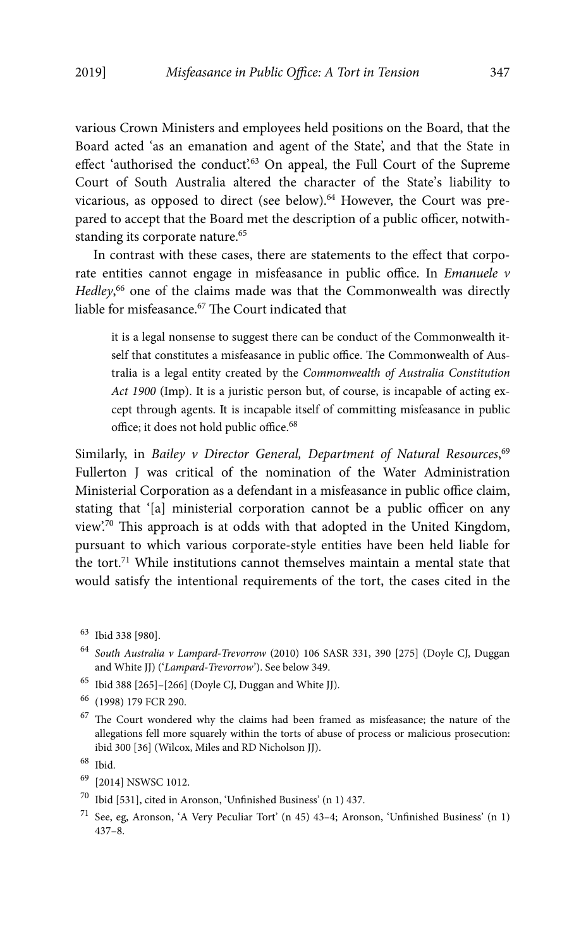various Crown Ministers and employees held positions on the Board, that the Board acted 'as an emanation and agent of the State', and that the State in effect 'authorised the conduct'.<sup>63</sup> On appeal, the Full Court of the Supreme Court of South Australia altered the character of the State's liability to vicarious, as opposed to direct (see below).<sup>64</sup> However, the Court was prepared to accept that the Board met the description of a public officer, notwithstanding its corporate nature.<sup>65</sup>

In contrast with these cases, there are statements to the effect that corporate entities cannot engage in misfeasance in public office. In Emanuele v Hedley,<sup>66</sup> one of the claims made was that the Commonwealth was directly liable for misfeasance.<sup>67</sup> The Court indicated that

it is a legal nonsense to suggest there can be conduct of the Commonwealth itself that constitutes a misfeasance in public office. The Commonwealth of Australia is a legal entity created by the Commonwealth of Australia Constitution Act 1900 (Imp). It is a juristic person but, of course, is incapable of acting except through agents. It is incapable itself of committing misfeasance in public office; it does not hold public office.<sup>68</sup>

Similarly, in Bailey v Director General, Department of Natural Resources,<sup>69</sup> Fullerton J was critical of the nomination of the Water Administration Ministerial Corporation as a defendant in a misfeasance in public office claim, stating that '[a] ministerial corporation cannot be a public officer on any view'.70 This approach is at odds with that adopted in the United Kingdom, pursuant to which various corporate-style entities have been held liable for the tort.71 While institutions cannot themselves maintain a mental state that would satisfy the intentional requirements of the tort, the cases cited in the

- <sup>64</sup> South Australia v Lampard-Trevorrow (2010) 106 SASR 331, 390 [275] (Doyle CJ, Duggan and White JJ) ('Lampard-Trevorrow'). See below 349.
- $^{65}\,$ Ibid 388 [265]–[266] (Doyle CJ, Duggan and White JJ).

67 The Court wondered why the claims had been framed as misfeasance; the nature of the allegations fell more squarely within the torts of abuse of process or malicious prosecution: ibid 300 [36] (Wilcox, Miles and RD Nicholson JJ).

- 69 [2014] NSWSC 1012.
- $^{70}\,$  Ibid [531], cited in Aronson, 'Unfinished Business' (n 1) 437.
- <sup>71</sup> See, eg, Aronson, 'A Very Peculiar Tort' (n 45) 43–4; Aronson, 'Unfinished Business' (n 1) 437–8.

<sup>63</sup> Ibid 338 [980].

<sup>66 (1998) 179</sup> FCR 290.

<sup>68</sup> Ibid.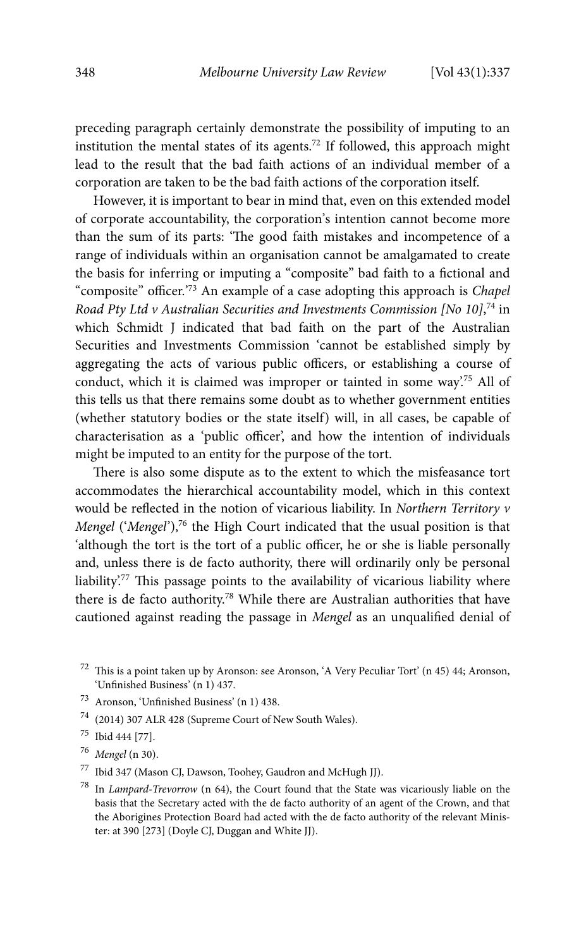preceding paragraph certainly demonstrate the possibility of imputing to an institution the mental states of its agents.72 If followed, this approach might lead to the result that the bad faith actions of an individual member of a corporation are taken to be the bad faith actions of the corporation itself.

However, it is important to bear in mind that, even on this extended model of corporate accountability, the corporation's intention cannot become more than the sum of its parts: 'The good faith mistakes and incompetence of a range of individuals within an organisation cannot be amalgamated to create the basis for inferring or imputing a "composite" bad faith to a fictional and "composite" officer.'73 An example of a case adopting this approach is Chapel Road Pty Ltd v Australian Securities and Investments Commission [No 10],<sup>74</sup> in which Schmidt J indicated that bad faith on the part of the Australian Securities and Investments Commission 'cannot be established simply by aggregating the acts of various public officers, or establishing a course of conduct, which it is claimed was improper or tainted in some way'.75 All of this tells us that there remains some doubt as to whether government entities (whether statutory bodies or the state itself) will, in all cases, be capable of characterisation as a 'public officer', and how the intention of individuals might be imputed to an entity for the purpose of the tort.

There is also some dispute as to the extent to which the misfeasance tort accommodates the hierarchical accountability model, which in this context would be reflected in the notion of vicarious liability. In Northern Territory v Mengel ('Mengel'),<sup>76</sup> the High Court indicated that the usual position is that 'although the tort is the tort of a public officer, he or she is liable personally and, unless there is de facto authority, there will ordinarily only be personal liability'.77 This passage points to the availability of vicarious liability where there is de facto authority.78 While there are Australian authorities that have cautioned against reading the passage in Mengel as an unqualified denial of

- 73 Aronson, 'Unfinished Business' (n 1) 438.
- 74 (2014) 307 ALR 428 (Supreme Court of New South Wales).
- 75 Ibid 444 [77].
- $76$  Mengel (n 30).
- 77 Ibid 347 (Mason CJ, Dawson, Toohey, Gaudron and McHugh JJ).
- $^{78}$  In Lampard-Trevorrow (n 64), the Court found that the State was vicariously liable on the basis that the Secretary acted with the de facto authority of an agent of the Crown, and that the Aborigines Protection Board had acted with the de facto authority of the relevant Minister: at 390 [273] (Doyle CJ, Duggan and White JJ).

 $72$  This is a point taken up by Aronson: see Aronson, 'A Very Peculiar Tort' (n 45) 44; Aronson, 'Unfinished Business' (n 1) 437.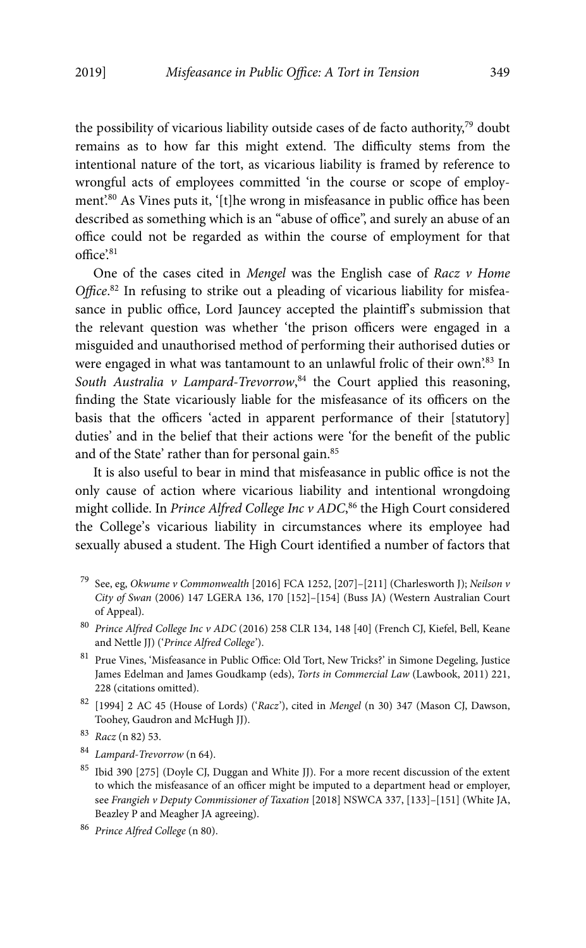the possibility of vicarious liability outside cases of de facto authority,79 doubt remains as to how far this might extend. The difficulty stems from the intentional nature of the tort, as vicarious liability is framed by reference to wrongful acts of employees committed 'in the course or scope of employment'.80 As Vines puts it, '[t]he wrong in misfeasance in public office has been described as something which is an "abuse of office", and surely an abuse of an office could not be regarded as within the course of employment for that  $office.^{81}$ 

One of the cases cited in Mengel was the English case of Racz  $v$  Home Office.<sup>82</sup> In refusing to strike out a pleading of vicarious liability for misfeasance in public office, Lord Jauncey accepted the plaintiff's submission that the relevant question was whether 'the prison officers were engaged in a misguided and unauthorised method of performing their authorised duties or were engaged in what was tantamount to an unlawful frolic of their own'.83 In South Australia v Lampard-Trevorrow,<sup>84</sup> the Court applied this reasoning, finding the State vicariously liable for the misfeasance of its officers on the basis that the officers 'acted in apparent performance of their [statutory] duties' and in the belief that their actions were 'for the benefit of the public and of the State' rather than for personal gain.<sup>85</sup>

It is also useful to bear in mind that misfeasance in public office is not the only cause of action where vicarious liability and intentional wrongdoing might collide. In Prince Alfred College Inc v ADC,<sup>86</sup> the High Court considered the College's vicarious liability in circumstances where its employee had sexually abused a student. The High Court identified a number of factors that

- 79 See, eg, Okwume v Commonwealth [2016] FCA 1252, [207]–[211] (Charlesworth J); Neilson v City of Swan (2006) 147 LGERA 136, 170 [152]–[154] (Buss JA) (Western Australian Court of Appeal).
- <sup>80</sup> Prince Alfred College Inc v ADC (2016) 258 CLR 134, 148 [40] (French CJ, Kiefel, Bell, Keane and Nettle JJ) ('Prince Alfred College').
- 81 Prue Vines, 'Misfeasance in Public Office: Old Tort, New Tricks?' in Simone Degeling, Justice James Edelman and James Goudkamp (eds), Torts in Commercial Law (Lawbook, 2011) 221, 228 (citations omitted).
- $82$  [1994] 2 AC 45 (House of Lords) ('Racz'), cited in Mengel (n 30) 347 (Mason CJ, Dawson, Toohey, Gaudron and McHugh JJ).

- <sup>84</sup> Lampard-Trevorrow (n 64).
- 85 Ibid 390 [275] (Doyle CJ, Duggan and White JJ). For a more recent discussion of the extent to which the misfeasance of an officer might be imputed to a department head or employer, see Frangieh v Deputy Commissioner of Taxation [2018] NSWCA 337, [133]–[151] (White JA, Beazley P and Meagher JA agreeing).
- <sup>86</sup> Prince Alfred College (n 80).

<sup>83</sup> Racz (n 82) 53.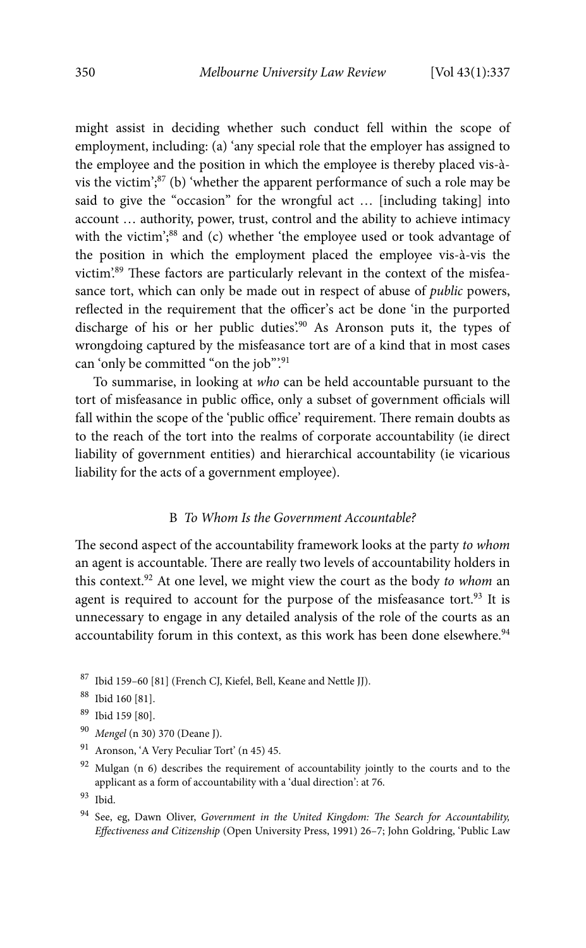might assist in deciding whether such conduct fell within the scope of employment, including: (a) 'any special role that the employer has assigned to the employee and the position in which the employee is thereby placed vis-àvis the victim'; $87$  (b) 'whether the apparent performance of such a role may be said to give the "occasion" for the wrongful act … [including taking] into account … authority, power, trust, control and the ability to achieve intimacy with the victim';<sup>88</sup> and (c) whether 'the employee used or took advantage of the position in which the employment placed the employee vis-à-vis the victim'.89 These factors are particularly relevant in the context of the misfeasance tort, which can only be made out in respect of abuse of public powers, reflected in the requirement that the officer's act be done 'in the purported discharge of his or her public duties'.<sup>90</sup> As Aronson puts it, the types of wrongdoing captured by the misfeasance tort are of a kind that in most cases can 'only be committed "on the job".<sup>91</sup>

To summarise, in looking at who can be held accountable pursuant to the tort of misfeasance in public office, only a subset of government officials will fall within the scope of the 'public office' requirement. There remain doubts as to the reach of the tort into the realms of corporate accountability (ie direct liability of government entities) and hierarchical accountability (ie vicarious liability for the acts of a government employee).

#### B To Whom Is the Government Accountable?

The second aspect of the accountability framework looks at the party to whom an agent is accountable. There are really two levels of accountability holders in this context.<sup>92</sup> At one level, we might view the court as the body to whom an agent is required to account for the purpose of the misfeasance tort.<sup>93</sup> It is unnecessary to engage in any detailed analysis of the role of the courts as an accountability forum in this context, as this work has been done elsewhere.<sup>94</sup>

- <sup>90</sup> Mengel (n 30) 370 (Deane J).<br><sup>91</sup> Aronson 'A Very Peculiar To
- 91 Aronson, 'A Very Peculiar Tort' (n 45) 45.

<sup>87</sup> Ibid 159–60 [81] (French CJ, Kiefel, Bell, Keane and Nettle JJ).

<sup>88</sup> Ibid 160 [81].

<sup>89</sup> Ibid 159 [80].

<sup>&</sup>lt;sup>92</sup> Mulgan (n 6) describes the requirement of accountability jointly to the courts and to the applicant as a form of accountability with a 'dual direction': at 76.

<sup>93</sup> Ibid.

 $94$  See, eg, Dawn Oliver, Government in the United Kingdom: The Search for Accountability, Effectiveness and Citizenship (Open University Press, 1991) 26–7; John Goldring, 'Public Law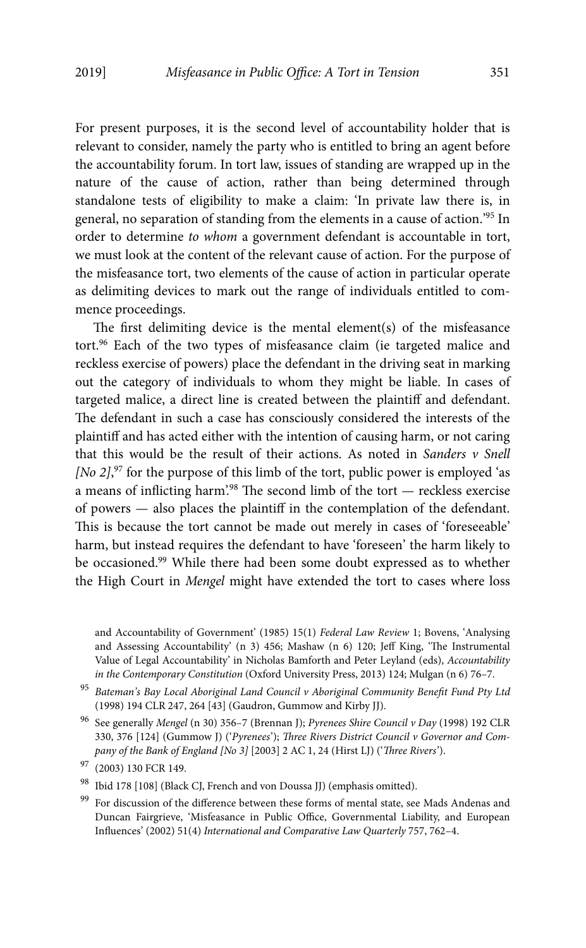For present purposes, it is the second level of accountability holder that is relevant to consider, namely the party who is entitled to bring an agent before the accountability forum. In tort law, issues of standing are wrapped up in the nature of the cause of action, rather than being determined through standalone tests of eligibility to make a claim: 'In private law there is, in general, no separation of standing from the elements in a cause of action.'95 In order to determine to whom a government defendant is accountable in tort, we must look at the content of the relevant cause of action. For the purpose of the misfeasance tort, two elements of the cause of action in particular operate as delimiting devices to mark out the range of individuals entitled to commence proceedings.

The first delimiting device is the mental element(s) of the misfeasance tort.<sup>96</sup> Each of the two types of misfeasance claim (ie targeted malice and reckless exercise of powers) place the defendant in the driving seat in marking out the category of individuals to whom they might be liable. In cases of targeted malice, a direct line is created between the plaintiff and defendant. The defendant in such a case has consciously considered the interests of the plaintiff and has acted either with the intention of causing harm, or not caring that this would be the result of their actions. As noted in Sanders  $v$  Snell [No 2],<sup>97</sup> for the purpose of this limb of the tort, public power is employed 'as a means of inflicting harm'.<sup>98</sup> The second limb of the tort — reckless exercise of powers — also places the plaintiff in the contemplation of the defendant. This is because the tort cannot be made out merely in cases of 'foreseeable' harm, but instead requires the defendant to have 'foreseen' the harm likely to be occasioned.99 While there had been some doubt expressed as to whether the High Court in Mengel might have extended the tort to cases where loss

and Accountability of Government' (1985) 15(1) Federal Law Review 1; Bovens, 'Analysing and Assessing Accountability' (n 3) 456; Mashaw (n 6) 120; Jeff King, 'The Instrumental Value of Legal Accountability' in Nicholas Bamforth and Peter Leyland (eds), Accountability in the Contemporary Constitution (Oxford University Press, 2013) 124; Mulgan (n 6) 76–7.

- <sup>95</sup> Bateman's Bay Local Aboriginal Land Council v Aboriginal Community Benefit Fund Pty Ltd (1998) 194 CLR 247, 264 [43] (Gaudron, Gummow and Kirby JJ).
- 96 See generally Mengel (n 30) 356–7 (Brennan J); Pyrenees Shire Council v Day (1998) 192 CLR 330, 376 [124] (Gummow J) ('Pyrenees'); Three Rivers District Council v Governor and Company of the Bank of England [No 3] [2003] 2 AC 1, 24 (Hirst LJ) ('Three Rivers').
- 97 (2003) 130 FCR 149.

 $^{98}\,$  Ibid 178 [108] (Black CJ, French and von Doussa JJ) (emphasis omitted).

<sup>99</sup> For discussion of the difference between these forms of mental state, see Mads Andenas and Duncan Fairgrieve, 'Misfeasance in Public Office, Governmental Liability, and European Influences' (2002) 51(4) International and Comparative Law Quarterly 757, 762–4.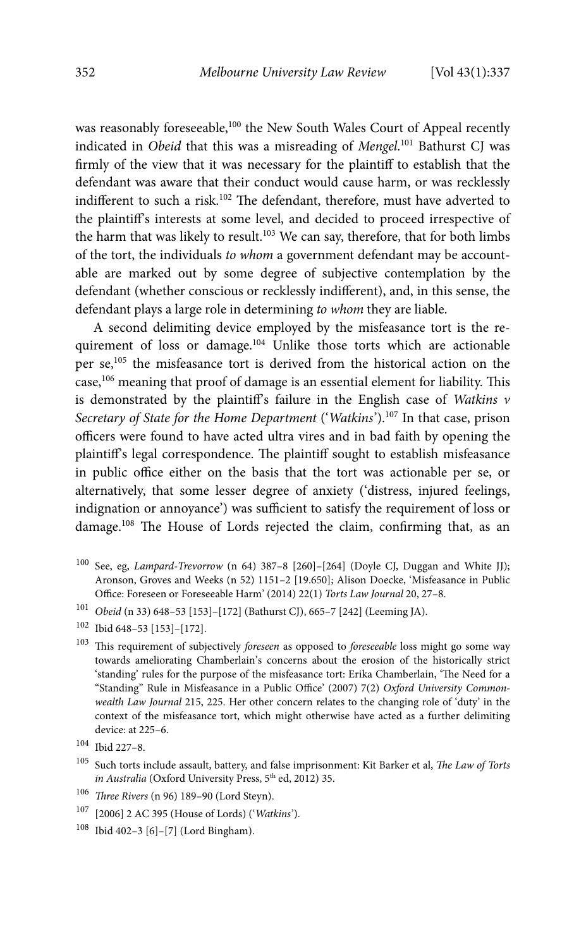was reasonably foreseeable,<sup>100</sup> the New South Wales Court of Appeal recently indicated in Obeid that this was a misreading of Mengel.<sup>101</sup> Bathurst CJ was firmly of the view that it was necessary for the plaintiff to establish that the defendant was aware that their conduct would cause harm, or was recklessly indifferent to such a risk.102 The defendant, therefore, must have adverted to the plaintiff's interests at some level, and decided to proceed irrespective of the harm that was likely to result.<sup>103</sup> We can say, therefore, that for both limbs of the tort, the individuals to whom a government defendant may be accountable are marked out by some degree of subjective contemplation by the defendant (whether conscious or recklessly indifferent), and, in this sense, the defendant plays a large role in determining to whom they are liable.

A second delimiting device employed by the misfeasance tort is the requirement of loss or damage.104 Unlike those torts which are actionable per se,105 the misfeasance tort is derived from the historical action on the case,<sup>106</sup> meaning that proof of damage is an essential element for liability. This is demonstrated by the plaintiff's failure in the English case of Watkins  $v$ Secretary of State for the Home Department ('Watkins').<sup>107</sup> In that case, prison officers were found to have acted ultra vires and in bad faith by opening the plaintiff's legal correspondence. The plaintiff sought to establish misfeasance in public office either on the basis that the tort was actionable per se, or alternatively, that some lesser degree of anxiety ('distress, injured feelings, indignation or annoyance') was sufficient to satisfy the requirement of loss or damage.108 The House of Lords rejected the claim, confirming that, as an

- 100 See, eg, Lampard-Trevorrow (n 64) 387–8 [260]–[264] (Doyle CJ, Duggan and White JJ); Aronson, Groves and Weeks (n 52) 1151–2 [19.650]; Alison Doecke, 'Misfeasance in Public Office: Foreseen or Foreseeable Harm' (2014) 22(1) Torts Law Journal 20, 27–8.
- <sup>101</sup> Obeid (n 33) 648–53 [153]–[172] (Bathurst CJ), 665–7 [242] (Leeming JA).
- 102 Ibid 648–53 [153]–[172].
- $^{103}\,$  This requirement of subjectively *foreseen* as opposed to *foreseeable* loss might go some way towards ameliorating Chamberlain's concerns about the erosion of the historically strict 'standing' rules for the purpose of the misfeasance tort: Erika Chamberlain, 'The Need for a "Standing" Rule in Misfeasance in a Public Office' (2007) 7(2) Oxford University Commonwealth Law Journal 215, 225. Her other concern relates to the changing role of 'duty' in the context of the misfeasance tort, which might otherwise have acted as a further delimiting device: at 225–6.

- <sup>105</sup> Such torts include assault, battery, and false imprisonment: Kit Barker et al, The Law of Torts in Australia (Oxford University Press, 5<sup>th</sup> ed, 2012) 35.
- <sup>106</sup> Three Rivers (n 96) 189–90 (Lord Steyn).
- 107 [2006] 2 AC 395 (House of Lords) ('Watkins').
- 108 Ibid 402–3 [6]–[7] (Lord Bingham).

<sup>104</sup> Ibid 227–8.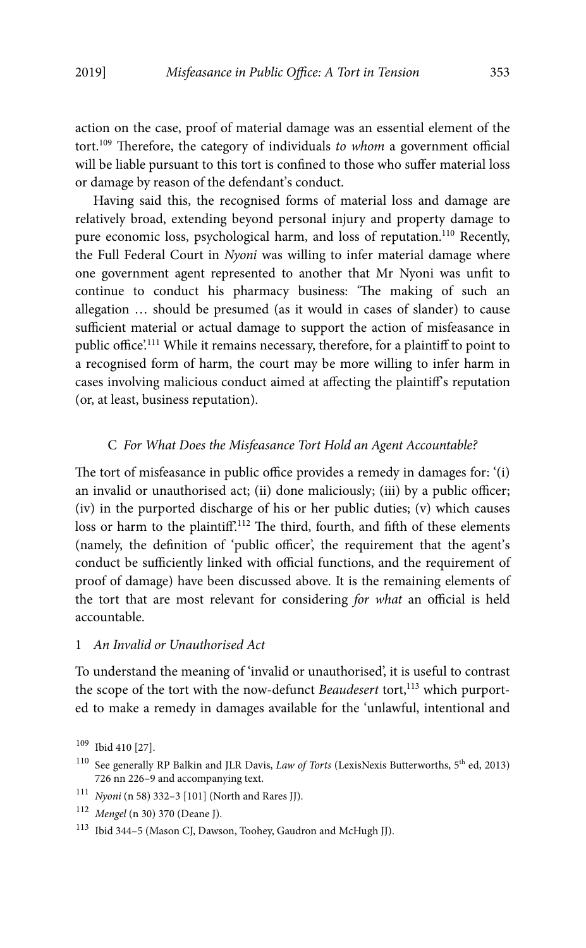action on the case, proof of material damage was an essential element of the tort.109 Therefore, the category of individuals to whom a government official will be liable pursuant to this tort is confined to those who suffer material loss or damage by reason of the defendant's conduct.

Having said this, the recognised forms of material loss and damage are relatively broad, extending beyond personal injury and property damage to pure economic loss, psychological harm, and loss of reputation.<sup>110</sup> Recently, the Full Federal Court in Nyoni was willing to infer material damage where one government agent represented to another that Mr Nyoni was unfit to continue to conduct his pharmacy business: 'The making of such an allegation … should be presumed (as it would in cases of slander) to cause sufficient material or actual damage to support the action of misfeasance in public office'.111 While it remains necessary, therefore, for a plaintiff to point to a recognised form of harm, the court may be more willing to infer harm in cases involving malicious conduct aimed at affecting the plaintiff's reputation (or, at least, business reputation).

#### C For What Does the Misfeasance Tort Hold an Agent Accountable?

The tort of misfeasance in public office provides a remedy in damages for: '(i) an invalid or unauthorised act; (ii) done maliciously; (iii) by a public officer; (iv) in the purported discharge of his or her public duties; (v) which causes loss or harm to the plaintiff.<sup>112</sup> The third, fourth, and fifth of these elements (namely, the definition of 'public officer', the requirement that the agent's conduct be sufficiently linked with official functions, and the requirement of proof of damage) have been discussed above. It is the remaining elements of the tort that are most relevant for considering for what an official is held accountable.

## 1 An Invalid or Unauthorised Act

To understand the meaning of 'invalid or unauthorised', it is useful to contrast the scope of the tort with the now-defunct Beaudesert tort, $113$  which purported to make a remedy in damages available for the 'unlawful, intentional and

<sup>109</sup> Ibid 410 [27].

<sup>&</sup>lt;sup>110</sup> See generally RP Balkin and JLR Davis, *Law of Torts* (LexisNexis Butterworths, 5<sup>th</sup> ed, 2013) 726 nn 226–9 and accompanying text.

 $111$  Nyoni (n 58) 332–3 [101] (North and Rares JJ).

<sup>112</sup> Mengel (n 30) 370 (Deane J).

<sup>113</sup> Ibid 344–5 (Mason CJ, Dawson, Toohey, Gaudron and McHugh JJ).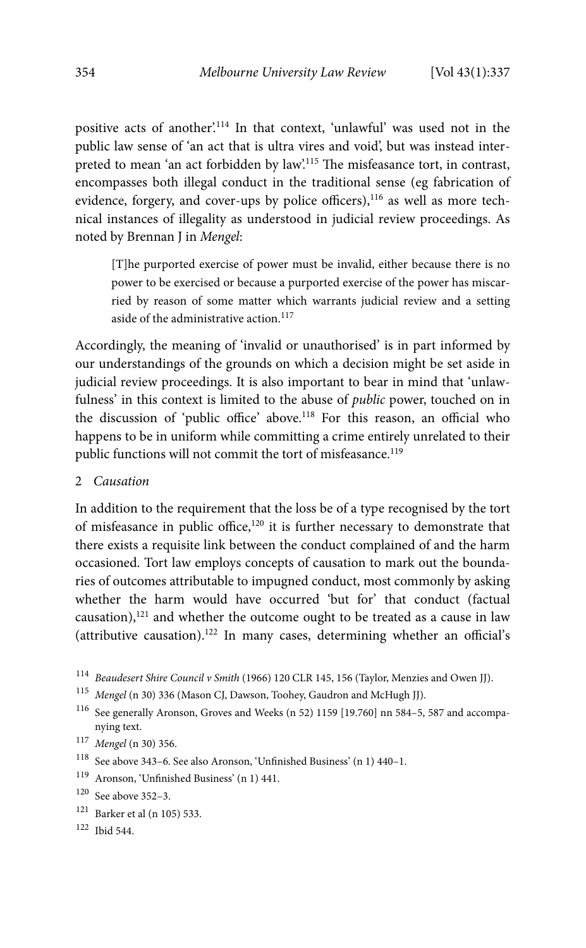positive acts of another'.<sup>114</sup> In that context, 'unlawful' was used not in the public law sense of 'an act that is ultra vires and void', but was instead interpreted to mean 'an act forbidden by law'.115 The misfeasance tort, in contrast, encompasses both illegal conduct in the traditional sense (eg fabrication of evidence, forgery, and cover-ups by police officers),<sup>116</sup> as well as more technical instances of illegality as understood in judicial review proceedings. As noted by Brennan J in Mengel:

[T]he purported exercise of power must be invalid, either because there is no power to be exercised or because a purported exercise of the power has miscarried by reason of some matter which warrants judicial review and a setting aside of the administrative action. $117$ 

Accordingly, the meaning of 'invalid or unauthorised' is in part informed by our understandings of the grounds on which a decision might be set aside in judicial review proceedings. It is also important to bear in mind that 'unlawfulness' in this context is limited to the abuse of public power, touched on in the discussion of 'public office' above.118 For this reason, an official who happens to be in uniform while committing a crime entirely unrelated to their public functions will not commit the tort of misfeasance.<sup>119</sup>

2 Causation

In addition to the requirement that the loss be of a type recognised by the tort of misfeasance in public office,<sup>120</sup> it is further necessary to demonstrate that there exists a requisite link between the conduct complained of and the harm occasioned. Tort law employs concepts of causation to mark out the boundaries of outcomes attributable to impugned conduct, most commonly by asking whether the harm would have occurred 'but for' that conduct (factual causation),<sup>121</sup> and whether the outcome ought to be treated as a cause in law (attributive causation).<sup>122</sup> In many cases, determining whether an official's

<sup>114</sup> Beaudesert Shire Council v Smith (1966) 120 CLR 145, 156 (Taylor, Menzies and Owen JJ).

- 116 See generally Aronson, Groves and Weeks (n 52) 1159 [19.760] nn 584–5, 587 and accompanying text.
- <sup>117</sup> Mengel (n 30) 356.
- $^{118}\,$  See above 343–6. See also Aronson, 'Unfinished Business' (n 1) 440–1.
- 119 Aronson, 'Unfinished Business' (n 1) 441.
- 120 See above 352–3.
- 121 Barker et al (n 105) 533.
- 122 Ibid 544.

<sup>115</sup> Mengel (n 30) 336 (Mason CJ, Dawson, Toohey, Gaudron and McHugh JJ).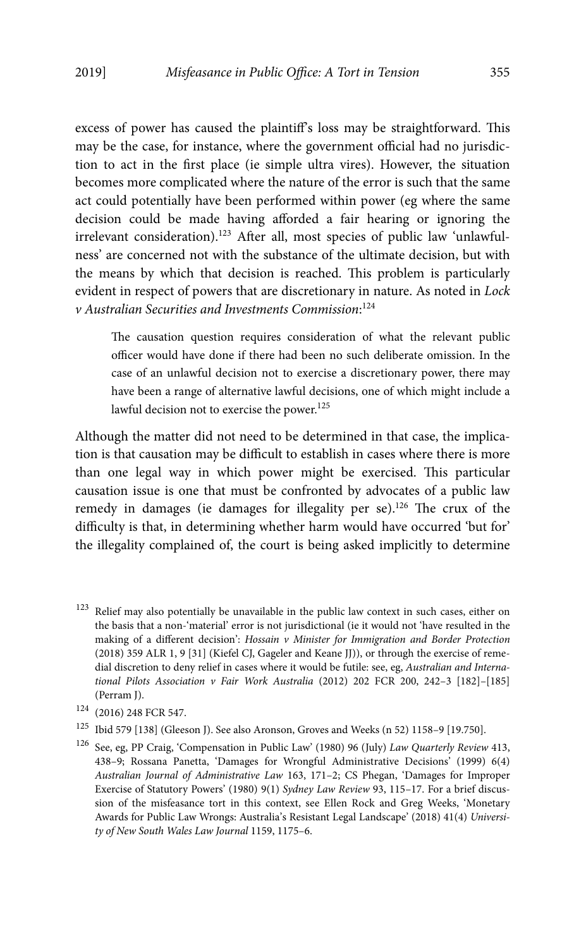excess of power has caused the plaintiff's loss may be straightforward. This may be the case, for instance, where the government official had no jurisdiction to act in the first place (ie simple ultra vires). However, the situation becomes more complicated where the nature of the error is such that the same act could potentially have been performed within power (eg where the same decision could be made having afforded a fair hearing or ignoring the irrelevant consideration).<sup>123</sup> After all, most species of public law 'unlawfulness' are concerned not with the substance of the ultimate decision, but with the means by which that decision is reached. This problem is particularly evident in respect of powers that are discretionary in nature. As noted in Lock v Australian Securities and Investments Commission: 124

The causation question requires consideration of what the relevant public officer would have done if there had been no such deliberate omission. In the case of an unlawful decision not to exercise a discretionary power, there may have been a range of alternative lawful decisions, one of which might include a lawful decision not to exercise the power.<sup>125</sup>

Although the matter did not need to be determined in that case, the implication is that causation may be difficult to establish in cases where there is more than one legal way in which power might be exercised. This particular causation issue is one that must be confronted by advocates of a public law remedy in damages (ie damages for illegality per se).<sup>126</sup> The crux of the difficulty is that, in determining whether harm would have occurred 'but for' the illegality complained of, the court is being asked implicitly to determine

 $^{125}\,$ Ibid 579 [138] (Gleeson J). See also Aronson, Groves and Weeks (n 52) 1158–9 [19.750].

<sup>123</sup> Relief may also potentially be unavailable in the public law context in such cases, either on the basis that a non-'material' error is not jurisdictional (ie it would not 'have resulted in the making of a different decision': Hossain v Minister for Immigration and Border Protection (2018) 359 ALR 1, 9 [31] (Kiefel CJ, Gageler and Keane JJ)), or through the exercise of remedial discretion to deny relief in cases where it would be futile: see, eg, Australian and International Pilots Association v Fair Work Australia (2012) 202 FCR 200, 242–3 [182]–[185] (Perram J).

<sup>124 (2016) 248</sup> FCR 547.

<sup>126</sup> See, eg, PP Craig, 'Compensation in Public Law' (1980) 96 (July) Law Quarterly Review 413, 438–9; Rossana Panetta, 'Damages for Wrongful Administrative Decisions' (1999) 6(4) Australian Journal of Administrative Law 163, 171–2; CS Phegan, 'Damages for Improper Exercise of Statutory Powers' (1980) 9(1) Sydney Law Review 93, 115–17. For a brief discussion of the misfeasance tort in this context, see Ellen Rock and Greg Weeks, 'Monetary Awards for Public Law Wrongs: Australia's Resistant Legal Landscape' (2018) 41(4) University of New South Wales Law Journal 1159, 1175–6.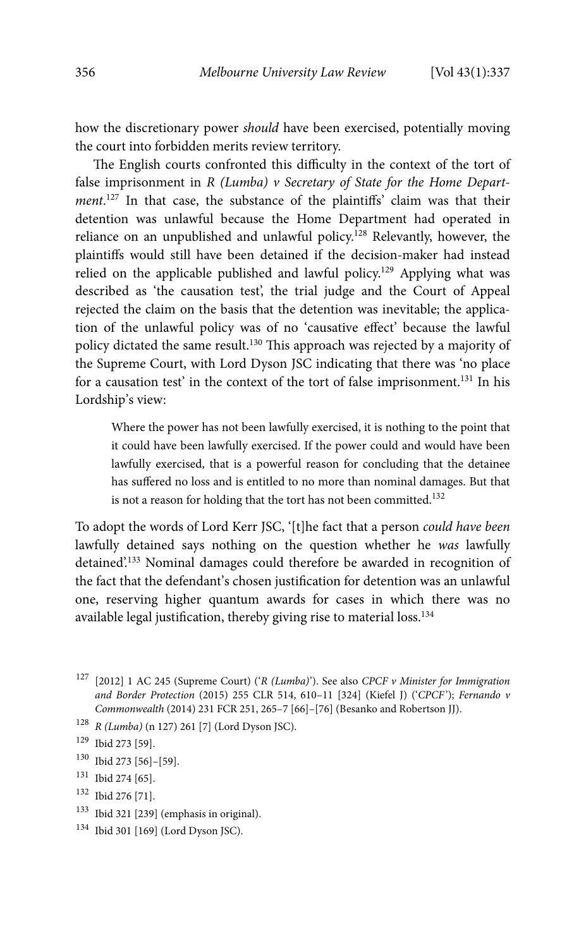how the discretionary power should have been exercised, potentially moving the court into forbidden merits review territory.

The English courts confronted this difficulty in the context of the tort of false imprisonment in  $R$  (Lumba)  $\nu$  Secretary of State for the Home Department.<sup>127</sup> In that case, the substance of the plaintiffs' claim was that their detention was unlawful because the Home Department had operated in reliance on an unpublished and unlawful policy.<sup>128</sup> Relevantly, however, the plaintiffs would still have been detained if the decision-maker had instead relied on the applicable published and lawful policy.<sup>129</sup> Applying what was described as 'the causation test', the trial judge and the Court of Appeal rejected the claim on the basis that the detention was inevitable; the application of the unlawful policy was of no 'causative effect' because the lawful policy dictated the same result.130 This approach was rejected by a majority of the Supreme Court, with Lord Dyson JSC indicating that there was 'no place for a causation test' in the context of the tort of false imprisonment.<sup>131</sup> In his Lordship's view:

Where the power has not been lawfully exercised, it is nothing to the point that it could have been lawfully exercised. If the power could and would have been lawfully exercised, that is a powerful reason for concluding that the detainee has suffered no loss and is entitled to no more than nominal damages. But that is not a reason for holding that the tort has not been committed.<sup>132</sup>

To adopt the words of Lord Kerr JSC, '[t]he fact that a person could have been lawfully detained says nothing on the question whether he was lawfully detained'.133 Nominal damages could therefore be awarded in recognition of the fact that the defendant's chosen justification for detention was an unlawful one, reserving higher quantum awards for cases in which there was no available legal justification, thereby giving rise to material loss.134

<sup>128</sup> R (Lumba) (n 127) 261 [7] (Lord Dyson JSC).

- 130 Ibid 273 [56]–[59].
- 131 Ibid 274 [65].
- 132 Ibid 276 [71].
- 133 Ibid 321 [239] (emphasis in original).
- 134 Ibid 301 [169] (Lord Dyson JSC).

<sup>&</sup>lt;sup>127</sup> [2012] 1 AC 245 (Supreme Court) ('R (Lumba)'). See also CPCF v Minister for Immigration and Border Protection (2015) 255 CLR 514, 610–11 [324] (Kiefel J) ('CPCF'); Fernando v Commonwealth (2014) 231 FCR 251, 265–7 [66]–[76] (Besanko and Robertson JJ).

<sup>129</sup> Ibid 273 [59].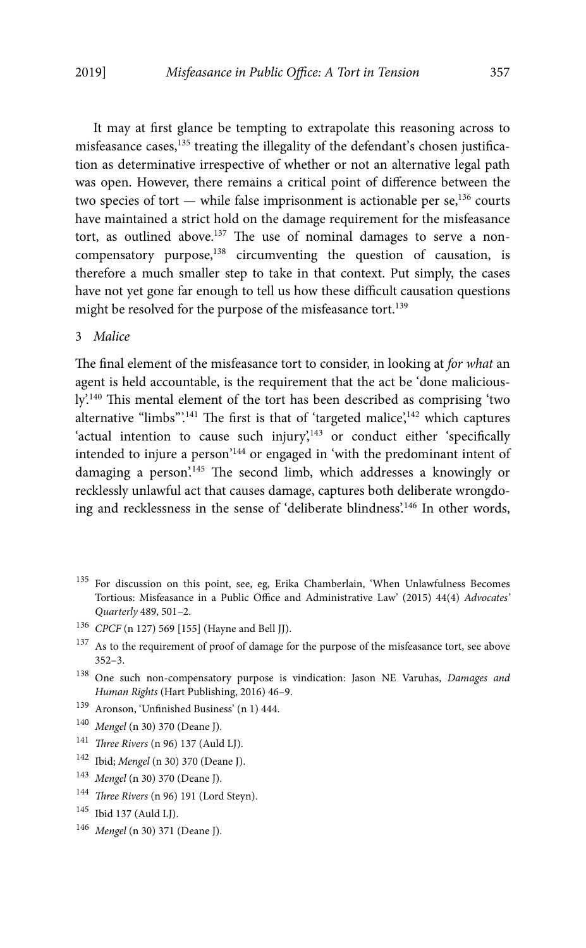It may at first glance be tempting to extrapolate this reasoning across to misfeasance cases,<sup>135</sup> treating the illegality of the defendant's chosen justification as determinative irrespective of whether or not an alternative legal path was open. However, there remains a critical point of difference between the two species of tort  $-$  while false imprisonment is actionable per se,<sup>136</sup> courts have maintained a strict hold on the damage requirement for the misfeasance tort, as outlined above.<sup>137</sup> The use of nominal damages to serve a noncompensatory purpose, $138$  circumventing the question of causation, is therefore a much smaller step to take in that context. Put simply, the cases have not yet gone far enough to tell us how these difficult causation questions might be resolved for the purpose of the misfeasance tort.<sup>139</sup>

### 3 Malice

The final element of the misfeasance tort to consider, in looking at for what an agent is held accountable, is the requirement that the act be 'done maliciously'.140 This mental element of the tort has been described as comprising 'two alternative "limbs".<sup>141</sup> The first is that of 'targeted malice', $142$  which captures 'actual intention to cause such injury',<sup>143</sup> or conduct either 'specifically intended to injure a person'144 or engaged in 'with the predominant intent of damaging a person'.145 The second limb, which addresses a knowingly or recklessly unlawful act that causes damage, captures both deliberate wrongdoing and recklessness in the sense of 'deliberate blindness'.146 In other words,

- 139 Aronson, 'Unfinished Business' (n 1) 444.
- <sup>140</sup> Mengel (n 30) 370 (Deane J).
- <sup>141</sup> Three Rivers (n 96) 137 (Auld LJ).
- 142 Ibid; Mengel (n 30) 370 (Deane J).
- <sup>143</sup> Mengel (n 30) 370 (Deane J).
- <sup>144</sup> Three Rivers (n 96) 191 (Lord Steyn).
- 145 Ibid 137 (Auld LJ).
- <sup>146</sup> Mengel (n 30) 371 (Deane J).

<sup>135</sup> For discussion on this point, see, eg, Erika Chamberlain, 'When Unlawfulness Becomes Tortious: Misfeasance in a Public Office and Administrative Law' (2015) 44(4) Advocates' Quarterly 489, 501–2.

<sup>136</sup> CPCF (n 127) 569 [155] (Hayne and Bell JJ).

 $^{137}\,$  As to the requirement of proof of damage for the purpose of the misfeasance tort, see above 352–3.

<sup>138</sup> One such non-compensatory purpose is vindication: Jason NE Varuhas, Damages and Human Rights (Hart Publishing, 2016) 46–9.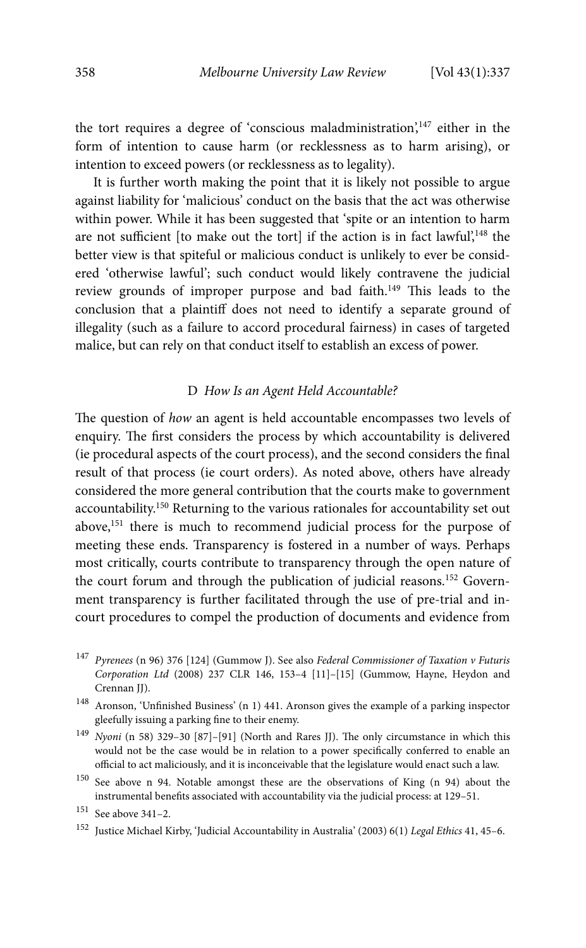the tort requires a degree of 'conscious maladministration',<sup>147</sup> either in the form of intention to cause harm (or recklessness as to harm arising), or intention to exceed powers (or recklessness as to legality).

It is further worth making the point that it is likely not possible to argue against liability for 'malicious' conduct on the basis that the act was otherwise within power. While it has been suggested that 'spite or an intention to harm are not sufficient [to make out the tort] if the action is in fact lawful',<sup>148</sup> the better view is that spiteful or malicious conduct is unlikely to ever be considered 'otherwise lawful'; such conduct would likely contravene the judicial review grounds of improper purpose and bad faith.<sup>149</sup> This leads to the conclusion that a plaintiff does not need to identify a separate ground of illegality (such as a failure to accord procedural fairness) in cases of targeted malice, but can rely on that conduct itself to establish an excess of power.

#### D How Is an Agent Held Accountable?

The question of how an agent is held accountable encompasses two levels of enquiry. The first considers the process by which accountability is delivered (ie procedural aspects of the court process), and the second considers the final result of that process (ie court orders). As noted above, others have already considered the more general contribution that the courts make to government accountability.150 Returning to the various rationales for accountability set out above,151 there is much to recommend judicial process for the purpose of meeting these ends. Transparency is fostered in a number of ways. Perhaps most critically, courts contribute to transparency through the open nature of the court forum and through the publication of judicial reasons.<sup>152</sup> Government transparency is further facilitated through the use of pre-trial and incourt procedures to compel the production of documents and evidence from

<sup>&</sup>lt;sup>147</sup> Pyrenees (n 96) 376 [124] (Gummow J). See also Federal Commissioner of Taxation v Futuris Corporation Ltd (2008) 237 CLR 146, 153–4 [11]–[15] (Gummow, Hayne, Heydon and Crennan JJ).

 $^{148}\,$  Aronson, 'Unfinished Business' (n 1) 441. Aronson gives the example of a parking inspector gleefully issuing a parking fine to their enemy.

<sup>149</sup> Nyoni (n 58) 329–30 [87]–[91] (North and Rares JJ). The only circumstance in which this would not be the case would be in relation to a power specifically conferred to enable an official to act maliciously, and it is inconceivable that the legislature would enact such a law.

<sup>150</sup> See above n 94. Notable amongst these are the observations of King (n 94) about the instrumental benefits associated with accountability via the judicial process: at 129–51.

<sup>151</sup> See above 341–2.

<sup>&</sup>lt;sup>152</sup> Justice Michael Kirby, 'Judicial Accountability in Australia' (2003) 6(1) Legal Ethics 41, 45-6.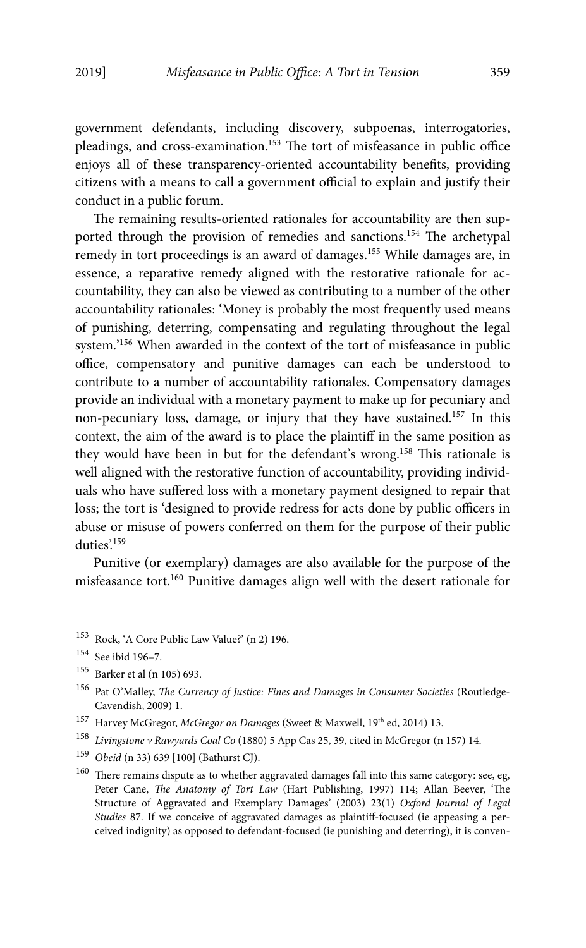government defendants, including discovery, subpoenas, interrogatories, pleadings, and cross-examination.153 The tort of misfeasance in public office enjoys all of these transparency-oriented accountability benefits, providing citizens with a means to call a government official to explain and justify their conduct in a public forum.

The remaining results-oriented rationales for accountability are then supported through the provision of remedies and sanctions.154 The archetypal remedy in tort proceedings is an award of damages.155 While damages are, in essence, a reparative remedy aligned with the restorative rationale for accountability, they can also be viewed as contributing to a number of the other accountability rationales: 'Money is probably the most frequently used means of punishing, deterring, compensating and regulating throughout the legal system.'156 When awarded in the context of the tort of misfeasance in public office, compensatory and punitive damages can each be understood to contribute to a number of accountability rationales. Compensatory damages provide an individual with a monetary payment to make up for pecuniary and non-pecuniary loss, damage, or injury that they have sustained.157 In this context, the aim of the award is to place the plaintiff in the same position as they would have been in but for the defendant's wrong.158 This rationale is well aligned with the restorative function of accountability, providing individuals who have suffered loss with a monetary payment designed to repair that loss; the tort is 'designed to provide redress for acts done by public officers in abuse or misuse of powers conferred on them for the purpose of their public duties'.<sup>159</sup>

Punitive (or exemplary) damages are also available for the purpose of the misfeasance tort.160 Punitive damages align well with the desert rationale for

153 Rock, 'A Core Public Law Value?' (n 2) 196.

- 155 Barker et al (n 105) 693.
- <sup>156</sup> Pat O'Malley, *The Currency of Justice: Fines and Damages in Consumer Societies* (Routledge-Cavendish, 2009) 1.
- <sup>157</sup> Harvey McGregor, *McGregor on Damages* (Sweet & Maxwell, 19<sup>th</sup> ed, 2014) 13.
- <sup>158</sup> Livingstone v Rawyards Coal Co (1880) 5 App Cas 25, 39, cited in McGregor (n 157) 14.
- <sup>159</sup> Obeid (n 33) 639 [100] (Bathurst CJ).
- $160$  There remains dispute as to whether aggravated damages fall into this same category: see, eg, Peter Cane, The Anatomy of Tort Law (Hart Publishing, 1997) 114; Allan Beever, 'The Structure of Aggravated and Exemplary Damages' (2003) 23(1) Oxford Journal of Legal Studies 87. If we conceive of aggravated damages as plaintiff-focused (ie appeasing a perceived indignity) as opposed to defendant-focused (ie punishing and deterring), it is conven-

<sup>154</sup> See ibid 196–7.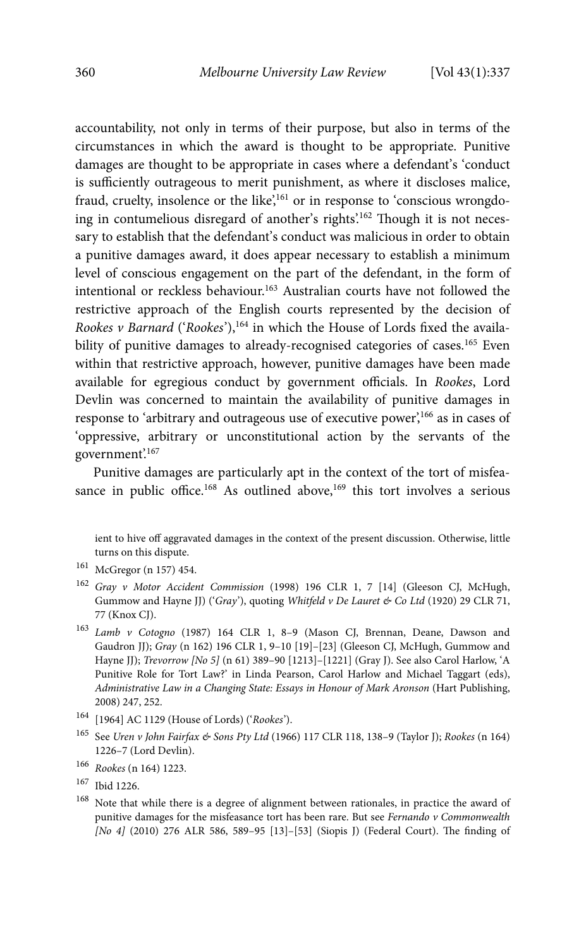accountability, not only in terms of their purpose, but also in terms of the circumstances in which the award is thought to be appropriate. Punitive damages are thought to be appropriate in cases where a defendant's 'conduct is sufficiently outrageous to merit punishment, as where it discloses malice, fraud, cruelty, insolence or the like',<sup>161</sup> or in response to 'conscious wrongdoing in contumelious disregard of another's rights'.<sup>162</sup> Though it is not necessary to establish that the defendant's conduct was malicious in order to obtain a punitive damages award, it does appear necessary to establish a minimum level of conscious engagement on the part of the defendant, in the form of intentional or reckless behaviour.<sup>163</sup> Australian courts have not followed the restrictive approach of the English courts represented by the decision of Rookes v Barnard ('Rookes'),  $164$  in which the House of Lords fixed the availability of punitive damages to already-recognised categories of cases.<sup>165</sup> Even within that restrictive approach, however, punitive damages have been made available for egregious conduct by government officials. In Rookes, Lord Devlin was concerned to maintain the availability of punitive damages in response to 'arbitrary and outrageous use of executive power',<sup>166</sup> as in cases of 'oppressive, arbitrary or unconstitutional action by the servants of the government'.167

Punitive damages are particularly apt in the context of the tort of misfeasance in public office.<sup>168</sup> As outlined above,<sup>169</sup> this tort involves a serious

ient to hive off aggravated damages in the context of the present discussion. Otherwise, little turns on this dispute.

- $^{161}\,$  McGregor (n 157) 454.
- <sup>162</sup> Gray v Motor Accident Commission (1998) 196 CLR 1, 7 [14] (Gleeson CJ, McHugh, Gummow and Hayne JJ) ('Gray'), quoting Whitfeld v De Lauret & Co Ltd (1920) 29 CLR 71, 77 (Knox CJ).
- <sup>163</sup> Lamb v Cotogno (1987) 164 CLR 1, 8–9 (Mason CJ, Brennan, Deane, Dawson and Gaudron JJ); Gray (n 162) 196 CLR 1, 9–10 [19]–[23] (Gleeson CJ, McHugh, Gummow and Hayne JJ); Trevorrow [No 5] (n 61) 389–90 [1213]–[1221] (Gray J). See also Carol Harlow, 'A Punitive Role for Tort Law?' in Linda Pearson, Carol Harlow and Michael Taggart (eds), Administrative Law in a Changing State: Essays in Honour of Mark Aronson (Hart Publishing, 2008) 247, 252.
- 164 [1964] AC 1129 (House of Lords) ('Rookes').
- $^{165}\,$  See Uren v John Fairfax & Sons Pty Ltd (1966) 117 CLR 118, 138–9 (Taylor J); Rookes (n 164) 1226–7 (Lord Devlin).
- <sup>166</sup> Rookes (n 164) 1223.
- 167 Ibid 1226.
- <sup>168</sup> Note that while there is a degree of alignment between rationales, in practice the award of punitive damages for the misfeasance tort has been rare. But see Fernando v Commonwealth [No 4] (2010) 276 ALR 586, 589–95 [13]–[53] (Siopis J) (Federal Court). The finding of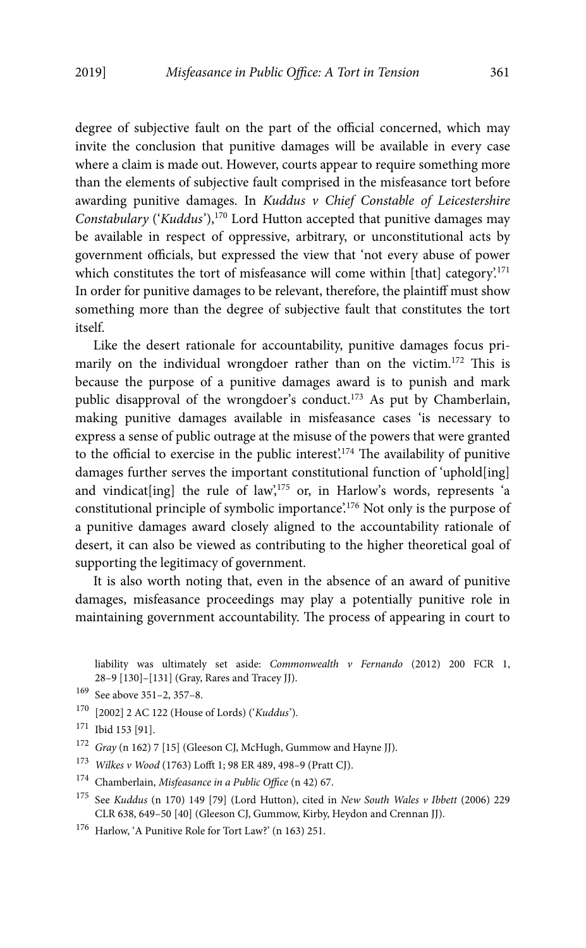degree of subjective fault on the part of the official concerned, which may invite the conclusion that punitive damages will be available in every case where a claim is made out. However, courts appear to require something more than the elements of subjective fault comprised in the misfeasance tort before awarding punitive damages. In Kuddus v Chief Constable of Leicestershire Constabulary ('Kuddus'), $170$  Lord Hutton accepted that punitive damages may be available in respect of oppressive, arbitrary, or unconstitutional acts by government officials, but expressed the view that 'not every abuse of power which constitutes the tort of misfeasance will come within [that] category.<sup>171</sup> In order for punitive damages to be relevant, therefore, the plaintiff must show something more than the degree of subjective fault that constitutes the tort itself.

Like the desert rationale for accountability, punitive damages focus primarily on the individual wrongdoer rather than on the victim.<sup>172</sup> This is because the purpose of a punitive damages award is to punish and mark public disapproval of the wrongdoer's conduct.<sup>173</sup> As put by Chamberlain, making punitive damages available in misfeasance cases 'is necessary to express a sense of public outrage at the misuse of the powers that were granted to the official to exercise in the public interest'.<sup>174</sup> The availability of punitive damages further serves the important constitutional function of 'uphold[ing] and vindicat[ing] the rule of law',<sup>175</sup> or, in Harlow's words, represents 'a constitutional principle of symbolic importance.<sup>176</sup> Not only is the purpose of a punitive damages award closely aligned to the accountability rationale of desert, it can also be viewed as contributing to the higher theoretical goal of supporting the legitimacy of government.

It is also worth noting that, even in the absence of an award of punitive damages, misfeasance proceedings may play a potentially punitive role in maintaining government accountability. The process of appearing in court to

liability was ultimately set aside: Commonwealth v Fernando (2012) 200 FCR 1, 28–9 [130]–[131] (Gray, Rares and Tracey JJ).

170 [2002] 2 AC 122 (House of Lords) ('Kuddus').

- <sup>173</sup> Wilkes v Wood (1763) Lofft 1; 98 ER 489, 498–9 (Pratt CJ).
- 174 Chamberlain, Misfeasance in a Public Office (n 42) 67.
- <sup>175</sup> See Kuddus (n 170) 149 [79] (Lord Hutton), cited in New South Wales v Ibbett (2006) 229 CLR 638, 649–50 [40] (Gleeson CJ, Gummow, Kirby, Heydon and Crennan JJ).
- 176 Harlow, 'A Punitive Role for Tort Law?' (n 163) 251.

<sup>169</sup> See above 351–2, 357–8.

<sup>171</sup> Ibid 153 [91].

 $^{172}~$  Gray (n 162) 7 [15] (Gleeson CJ, McHugh, Gummow and Hayne JJ).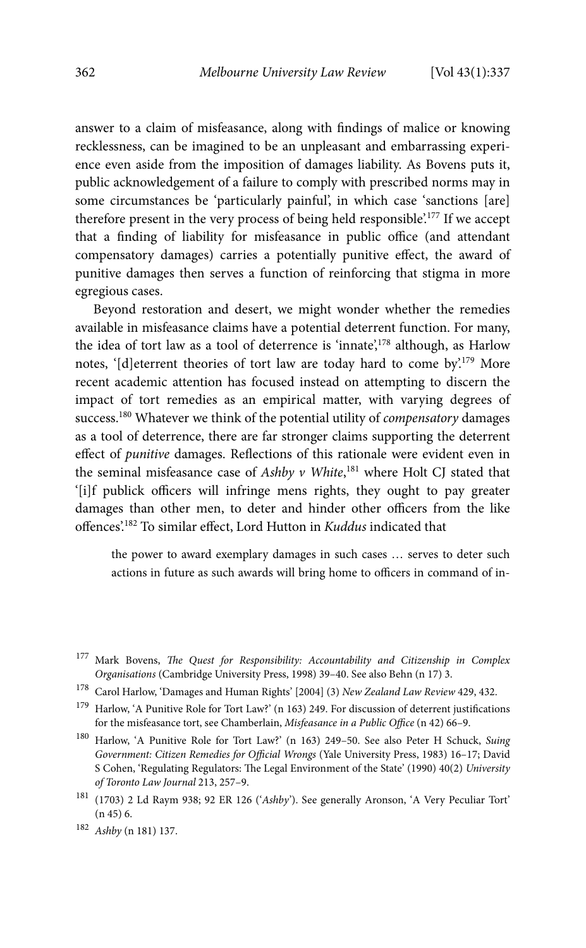answer to a claim of misfeasance, along with findings of malice or knowing recklessness, can be imagined to be an unpleasant and embarrassing experience even aside from the imposition of damages liability. As Bovens puts it, public acknowledgement of a failure to comply with prescribed norms may in some circumstances be 'particularly painful', in which case 'sanctions [are] therefore present in the very process of being held responsible'.177 If we accept that a finding of liability for misfeasance in public office (and attendant compensatory damages) carries a potentially punitive effect, the award of punitive damages then serves a function of reinforcing that stigma in more egregious cases.

Beyond restoration and desert, we might wonder whether the remedies available in misfeasance claims have a potential deterrent function. For many, the idea of tort law as a tool of deterrence is 'innate',<sup>178</sup> although, as Harlow notes, '[d]eterrent theories of tort law are today hard to come by.<sup>179</sup> More recent academic attention has focused instead on attempting to discern the impact of tort remedies as an empirical matter, with varying degrees of success.<sup>180</sup> Whatever we think of the potential utility of *compensatory* damages as a tool of deterrence, there are far stronger claims supporting the deterrent effect of punitive damages. Reflections of this rationale were evident even in the seminal misfeasance case of Ashby  $v$  White,<sup>181</sup> where Holt CJ stated that '[i]f publick officers will infringe mens rights, they ought to pay greater damages than other men, to deter and hinder other officers from the like offences'.182 To similar effect, Lord Hutton in Kuddus indicated that

the power to award exemplary damages in such cases … serves to deter such actions in future as such awards will bring home to officers in command of in-

<sup>&</sup>lt;sup>177</sup> Mark Bovens, The Quest for Responsibility: Accountability and Citizenship in Complex Organisations (Cambridge University Press, 1998) 39–40. See also Behn (n 17) 3.

<sup>&</sup>lt;sup>178</sup> Carol Harlow, 'Damages and Human Rights' [2004] (3) New Zealand Law Review 429, 432.

 $^{179}\,$  Harlow, 'A Punitive Role for Tort Law?' (n 163) 249. For discussion of deterrent justifications for the misfeasance tort, see Chamberlain, Misfeasance in a Public Office (n 42) 66–9.

<sup>180</sup> Harlow, 'A Punitive Role for Tort Law?' (n 163) 249–50. See also Peter H Schuck, Suing Government: Citizen Remedies for Official Wrongs (Yale University Press, 1983) 16–17; David S Cohen, 'Regulating Regulators: The Legal Environment of the State' (1990) 40(2) University of Toronto Law Journal 213, 257–9.

<sup>181 (1703) 2</sup> Ld Raym 938; 92 ER 126 ('Ashby'). See generally Aronson, 'A Very Peculiar Tort' (n 45) 6.

<sup>182</sup> Ashby (n 181) 137.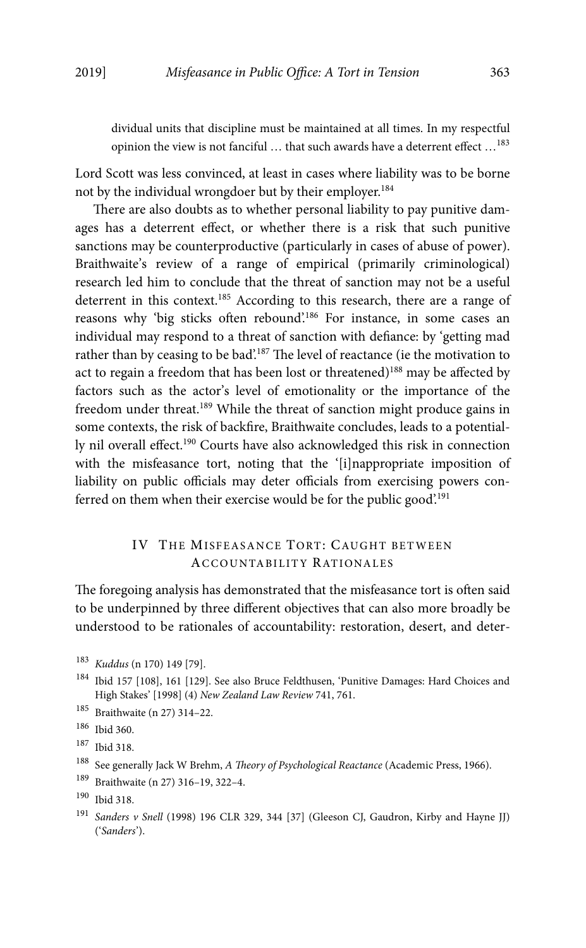dividual units that discipline must be maintained at all times. In my respectful opinion the view is not fanciful ... that such awards have a deterrent effect ...<sup>183</sup>

Lord Scott was less convinced, at least in cases where liability was to be borne not by the individual wrongdoer but by their employer.184

There are also doubts as to whether personal liability to pay punitive damages has a deterrent effect, or whether there is a risk that such punitive sanctions may be counterproductive (particularly in cases of abuse of power). Braithwaite's review of a range of empirical (primarily criminological) research led him to conclude that the threat of sanction may not be a useful deterrent in this context.<sup>185</sup> According to this research, there are a range of reasons why 'big sticks often rebound'.186 For instance, in some cases an individual may respond to a threat of sanction with defiance: by 'getting mad rather than by ceasing to be bad'.187 The level of reactance (ie the motivation to act to regain a freedom that has been lost or threatened)<sup>188</sup> may be affected by factors such as the actor's level of emotionality or the importance of the freedom under threat.189 While the threat of sanction might produce gains in some contexts, the risk of backfire, Braithwaite concludes, leads to a potentially nil overall effect.<sup>190</sup> Courts have also acknowledged this risk in connection with the misfeasance tort, noting that the '[i]nappropriate imposition of liability on public officials may deter officials from exercising powers conferred on them when their exercise would be for the public good'.<sup>191</sup>

## IV THE MISFEASANCE TORT: CAUGHT BETWEEN ACCOUNTABILITY RATIONALES

The foregoing analysis has demonstrated that the misfeasance tort is often said to be underpinned by three different objectives that can also more broadly be understood to be rationales of accountability: restoration, desert, and deter-

<sup>183</sup> Kuddus (n 170) 149 [79].

<sup>184</sup> Ibid 157 [108], 161 [129]. See also Bruce Feldthusen, 'Punitive Damages: Hard Choices and High Stakes' [1998] (4) New Zealand Law Review 741, 761.

<sup>185</sup> Braithwaite (n 27) 314–22.

<sup>186</sup> Ibid 360.

<sup>187</sup> Ibid 318.

<sup>&</sup>lt;sup>188</sup> See generally Jack W Brehm, A Theory of Psychological Reactance (Academic Press, 1966).

<sup>189</sup> Braithwaite (n 27) 316–19, 322–4.

<sup>190</sup> Ibid 318.

<sup>&</sup>lt;sup>191</sup> Sanders v Snell (1998) 196 CLR 329, 344 [37] (Gleeson CJ, Gaudron, Kirby and Hayne JJ) ('Sanders').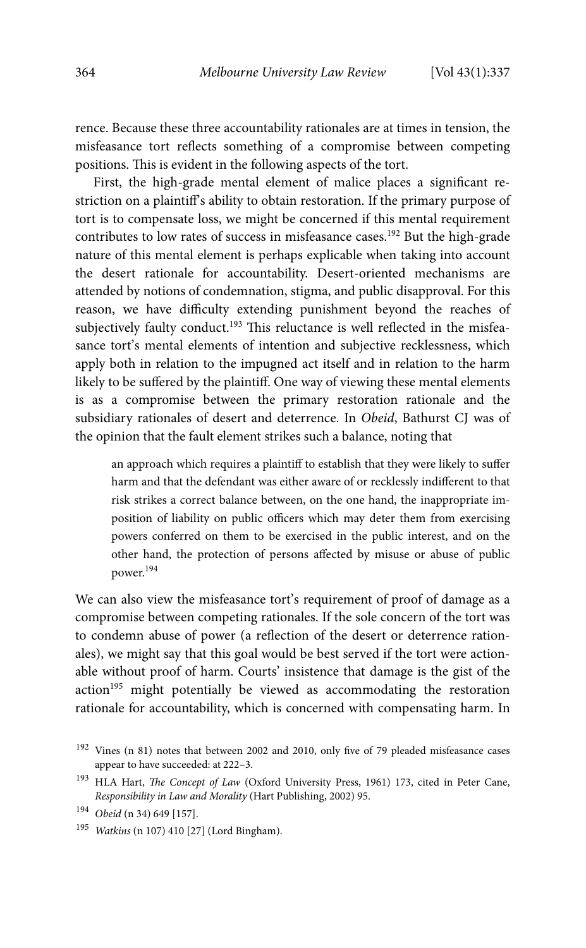rence. Because these three accountability rationales are at times in tension, the misfeasance tort reflects something of a compromise between competing positions. This is evident in the following aspects of the tort.

First, the high-grade mental element of malice places a significant restriction on a plaintiff's ability to obtain restoration. If the primary purpose of tort is to compensate loss, we might be concerned if this mental requirement contributes to low rates of success in misfeasance cases.<sup>192</sup> But the high-grade nature of this mental element is perhaps explicable when taking into account the desert rationale for accountability. Desert-oriented mechanisms are attended by notions of condemnation, stigma, and public disapproval. For this reason, we have difficulty extending punishment beyond the reaches of subjectively faulty conduct.<sup>193</sup> This reluctance is well reflected in the misfeasance tort's mental elements of intention and subjective recklessness, which apply both in relation to the impugned act itself and in relation to the harm likely to be suffered by the plaintiff. One way of viewing these mental elements is as a compromise between the primary restoration rationale and the subsidiary rationales of desert and deterrence. In Obeid, Bathurst CJ was of the opinion that the fault element strikes such a balance, noting that

an approach which requires a plaintiff to establish that they were likely to suffer harm and that the defendant was either aware of or recklessly indifferent to that risk strikes a correct balance between, on the one hand, the inappropriate imposition of liability on public officers which may deter them from exercising powers conferred on them to be exercised in the public interest, and on the other hand, the protection of persons affected by misuse or abuse of public power.194

We can also view the misfeasance tort's requirement of proof of damage as a compromise between competing rationales. If the sole concern of the tort was to condemn abuse of power (a reflection of the desert or deterrence rationales), we might say that this goal would be best served if the tort were actionable without proof of harm. Courts' insistence that damage is the gist of the action<sup>195</sup> might potentially be viewed as accommodating the restoration rationale for accountability, which is concerned with compensating harm. In

<sup>195</sup> Watkins (n 107) 410 [27] (Lord Bingham).

 <sup>192</sup> Vines (n 81) notes that between 2002 and 2010, only five of 79 pleaded misfeasance cases appear to have succeeded: at 222–3.

<sup>&</sup>lt;sup>193</sup> HLA Hart, *The Concept of Law* (Oxford University Press, 1961) 173, cited in Peter Cane, Responsibility in Law and Morality (Hart Publishing, 2002) 95.

<sup>194</sup> Obeid (n 34) 649 [157].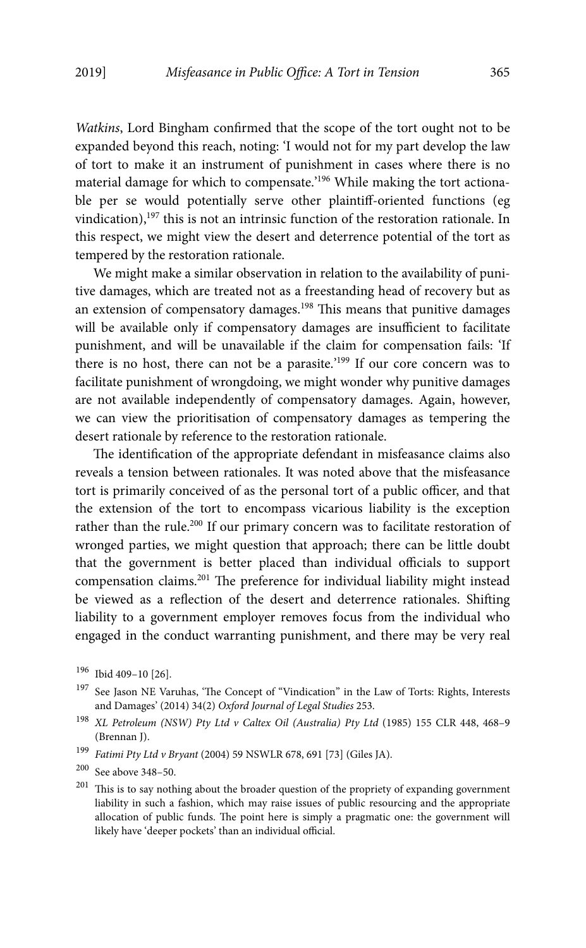Watkins, Lord Bingham confirmed that the scope of the tort ought not to be expanded beyond this reach, noting: 'I would not for my part develop the law of tort to make it an instrument of punishment in cases where there is no material damage for which to compensate.'<sup>196</sup> While making the tort actionable per se would potentially serve other plaintiff-oriented functions (eg vindication),197 this is not an intrinsic function of the restoration rationale. In this respect, we might view the desert and deterrence potential of the tort as tempered by the restoration rationale.

We might make a similar observation in relation to the availability of punitive damages, which are treated not as a freestanding head of recovery but as an extension of compensatory damages.<sup>198</sup> This means that punitive damages will be available only if compensatory damages are insufficient to facilitate punishment, and will be unavailable if the claim for compensation fails: 'If there is no host, there can not be a parasite.'199 If our core concern was to facilitate punishment of wrongdoing, we might wonder why punitive damages are not available independently of compensatory damages. Again, however, we can view the prioritisation of compensatory damages as tempering the desert rationale by reference to the restoration rationale.

The identification of the appropriate defendant in misfeasance claims also reveals a tension between rationales. It was noted above that the misfeasance tort is primarily conceived of as the personal tort of a public officer, and that the extension of the tort to encompass vicarious liability is the exception rather than the rule.<sup>200</sup> If our primary concern was to facilitate restoration of wronged parties, we might question that approach; there can be little doubt that the government is better placed than individual officials to support compensation claims.201 The preference for individual liability might instead be viewed as a reflection of the desert and deterrence rationales. Shifting liability to a government employer removes focus from the individual who engaged in the conduct warranting punishment, and there may be very real

- <sup>197</sup> See Jason NE Varuhas, 'The Concept of "Vindication" in the Law of Torts: Rights, Interests and Damages' (2014) 34(2) Oxford Journal of Legal Studies 253.
- <sup>198</sup> XL Petroleum (NSW) Pty Ltd v Caltex Oil (Australia) Pty Ltd (1985) 155 CLR 448, 468-9 (Brennan J).
- <sup>199</sup> Fatimi Pty Ltd v Bryant (2004) 59 NSWLR 678, 691 [73] (Giles JA).

 $201$  This is to say nothing about the broader question of the propriety of expanding government liability in such a fashion, which may raise issues of public resourcing and the appropriate allocation of public funds. The point here is simply a pragmatic one: the government will likely have 'deeper pockets' than an individual official.

<sup>196</sup> Ibid 409–10 [26].

<sup>200</sup> See above 348–50.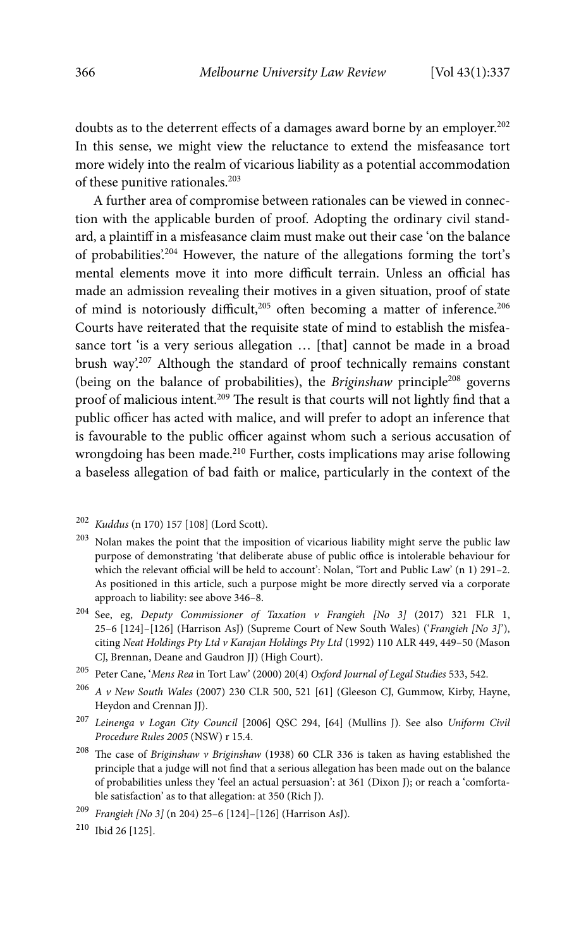doubts as to the deterrent effects of a damages award borne by an employer.<sup>202</sup> In this sense, we might view the reluctance to extend the misfeasance tort more widely into the realm of vicarious liability as a potential accommodation of these punitive rationales.<sup>203</sup>

A further area of compromise between rationales can be viewed in connection with the applicable burden of proof. Adopting the ordinary civil standard, a plaintiff in a misfeasance claim must make out their case 'on the balance of probabilities'.204 However, the nature of the allegations forming the tort's mental elements move it into more difficult terrain. Unless an official has made an admission revealing their motives in a given situation, proof of state of mind is notoriously difficult,<sup>205</sup> often becoming a matter of inference.<sup>206</sup> Courts have reiterated that the requisite state of mind to establish the misfeasance tort 'is a very serious allegation ... [that] cannot be made in a broad brush way'.207 Although the standard of proof technically remains constant (being on the balance of probabilities), the Briginshaw principle<sup>208</sup> governs proof of malicious intent.<sup>209</sup> The result is that courts will not lightly find that a public officer has acted with malice, and will prefer to adopt an inference that is favourable to the public officer against whom such a serious accusation of wrongdoing has been made.<sup>210</sup> Further, costs implications may arise following a baseless allegation of bad faith or malice, particularly in the context of the

- $203$  Nolan makes the point that the imposition of vicarious liability might serve the public law purpose of demonstrating 'that deliberate abuse of public office is intolerable behaviour for which the relevant official will be held to account': Nolan, 'Tort and Public Law' (n 1) 291–2. As positioned in this article, such a purpose might be more directly served via a corporate approach to liability: see above 346–8.
- 204 See, eg, Deputy Commissioner of Taxation v Frangieh [No 3] (2017) 321 FLR 1, 25–6 [124]–[126] (Harrison AsJ) (Supreme Court of New South Wales) ('Frangieh [No 3]'), citing Neat Holdings Pty Ltd v Karajan Holdings Pty Ltd (1992) 110 ALR 449, 449–50 (Mason CJ, Brennan, Deane and Gaudron JJ) (High Court).
- $^{205}\,$  Peter Cane, 'Mens Rea in Tort Law' (2000) 20(4) Oxford Journal of Legal Studies 533, 542.
- $206$  A v New South Wales (2007) 230 CLR 500, 521 [61] (Gleeson CJ, Gummow, Kirby, Hayne, Heydon and Crennan JJ).
- <sup>207</sup> Leinenga v Logan City Council [2006] QSC 294, [64] (Mullins J). See also Uniform Civil Procedure Rules 2005 (NSW) r 15.4.
- $208$  The case of Briginshaw v Briginshaw (1938) 60 CLR 336 is taken as having established the principle that a judge will not find that a serious allegation has been made out on the balance of probabilities unless they 'feel an actual persuasion': at 361 (Dixon J); or reach a 'comfortable satisfaction' as to that allegation: at 350 (Rich J).
- <sup>209</sup> Frangieh [No 3] (n 204) 25–6 [124]–[126] (Harrison AsJ).

<sup>202</sup> Kuddus (n 170) 157 [108] (Lord Scott).

<sup>210</sup> Ibid 26 [125].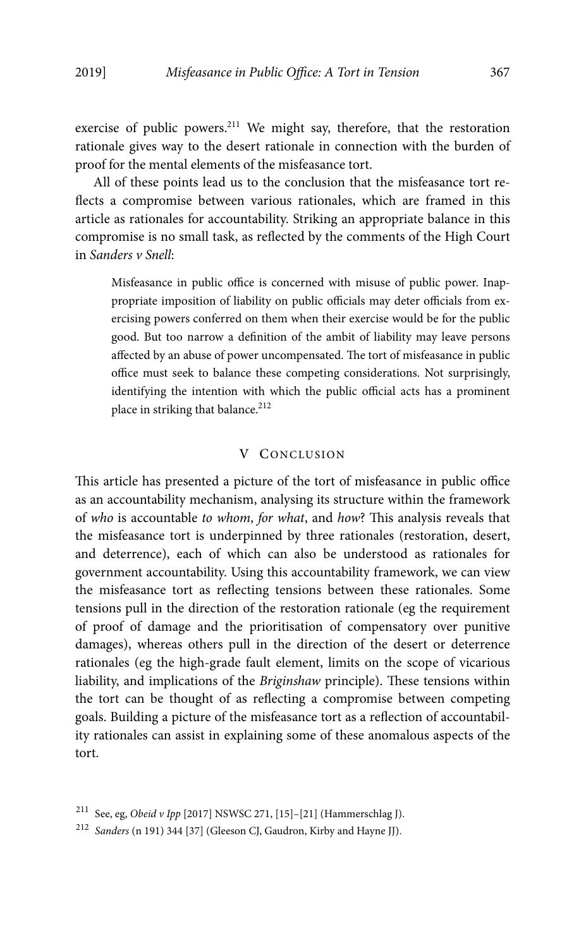exercise of public powers.<sup>211</sup> We might say, therefore, that the restoration rationale gives way to the desert rationale in connection with the burden of proof for the mental elements of the misfeasance tort.

All of these points lead us to the conclusion that the misfeasance tort reflects a compromise between various rationales, which are framed in this article as rationales for accountability. Striking an appropriate balance in this compromise is no small task, as reflected by the comments of the High Court in Sanders v Snell:

Misfeasance in public office is concerned with misuse of public power. Inappropriate imposition of liability on public officials may deter officials from exercising powers conferred on them when their exercise would be for the public good. But too narrow a definition of the ambit of liability may leave persons affected by an abuse of power uncompensated. The tort of misfeasance in public office must seek to balance these competing considerations. Not surprisingly, identifying the intention with which the public official acts has a prominent place in striking that balance.<sup>212</sup>

## V CONCLUSION

This article has presented a picture of the tort of misfeasance in public office as an accountability mechanism, analysing its structure within the framework of who is accountable to whom, for what, and how? This analysis reveals that the misfeasance tort is underpinned by three rationales (restoration, desert, and deterrence), each of which can also be understood as rationales for government accountability. Using this accountability framework, we can view the misfeasance tort as reflecting tensions between these rationales. Some tensions pull in the direction of the restoration rationale (eg the requirement of proof of damage and the prioritisation of compensatory over punitive damages), whereas others pull in the direction of the desert or deterrence rationales (eg the high-grade fault element, limits on the scope of vicarious liability, and implications of the Briginshaw principle). These tensions within the tort can be thought of as reflecting a compromise between competing goals. Building a picture of the misfeasance tort as a reflection of accountability rationales can assist in explaining some of these anomalous aspects of the tort.

<sup>&</sup>lt;sup>211</sup> See, eg, Obeid v Ipp [2017] NSWSC 271, [15]-[21] (Hammerschlag J).

<sup>212</sup> Sanders (n 191) 344 [37] (Gleeson CJ, Gaudron, Kirby and Hayne JJ).